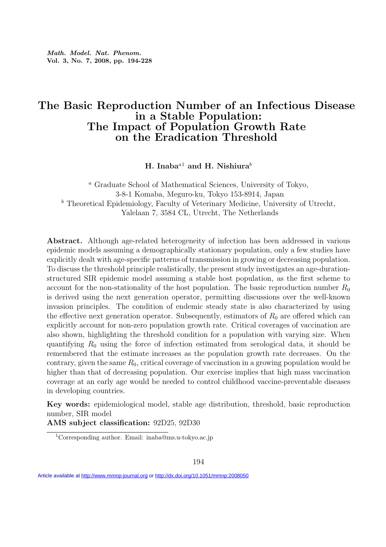Math. Model. Nat. Phenom. Vol. 3, No. 7, 2008, pp. 194-228

## The Basic Reproduction Number of an Infectious Disease in a Stable Population: The Impact of Population Growth Rate on the Eradication Threshold

H. Inaba<sup>a1</sup> and H. Nishiura<sup>b</sup>

<sup>a</sup> Graduate School of Mathematical Sciences, University of Tokyo, 3-8-1 Komaba, Meguro-ku, Tokyo 153-8914, Japan  $<sup>b</sup>$  Theoretical Epidemiology, Faculty of Veterinary Medicine, University of Utrecht,</sup> Yalelaan 7, 3584 CL, Utrecht, The Netherlands

Abstract. Although age-related heterogeneity of infection has been addressed in various epidemic models assuming a demographically stationary population, only a few studies have explicitly dealt with age-specific patterns of transmission in growing or decreasing population. To discuss the threshold principle realistically, the present study investigates an age-durationstructured SIR epidemic model assuming a stable host population, as the first scheme to account for the non-stationality of the host population. The basic reproduction number  $R_0$ is derived using the next generation operator, permitting discussions over the well-known invasion principles. The condition of endemic steady state is also characterized by using the effective next generation operator. Subsequently, estimators of  $R_0$  are offered which can explicitly account for non-zero population growth rate. Critical coverages of vaccination are also shown, highlighting the threshold condition for a population with varying size. When quantifying  $R_0$  using the force of infection estimated from serological data, it should be remembered that the estimate increases as the population growth rate decreases. On the contrary, given the same  $R_0$ , critical coverage of vaccination in a growing population would be higher than that of decreasing population. Our exercise implies that high mass vaccination coverage at an early age would be needed to control childhood vaccine-preventable diseases in developing countries.

Key words: epidemiological model, stable age distribution, threshold, basic reproduction number, SIR model

AMS subject classification: 92D25, 92D30

<sup>1</sup>Corresponding author. Email: inaba@ms.u-tokyo.ac.jp

Article available at<http://www.mmnp-journal.org>or<http://dx.doi.org/10.1051/mmnp:2008050>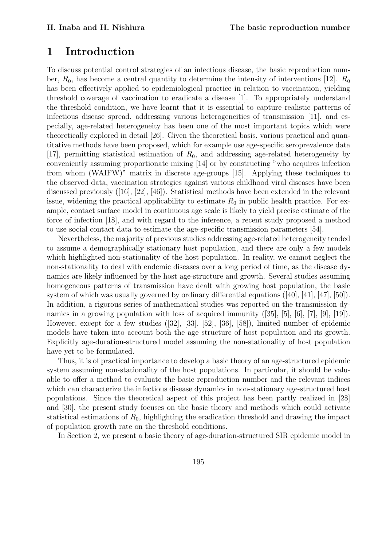## 1 Introduction

To discuss potential control strategies of an infectious disease, the basic reproduction number,  $R_0$ , has become a central quantity to determine the intensity of interventions [12].  $R_0$ has been effectively applied to epidemiological practice in relation to vaccination, yielding threshold coverage of vaccination to eradicate a disease [1]. To appropriately understand the threshold condition, we have learnt that it is essential to capture realistic patterns of infectious disease spread, addressing various heterogeneities of transmission [11], and especially, age-related heterogeneity has been one of the most important topics which were theoretically explored in detail [26]. Given the theoretical basis, various practical and quantitative methods have been proposed, which for example use age-specific seroprevalence data [17], permitting statistical estimation of  $R_0$ , and addressing age-related heterogeneity by conveniently assuming proportionate mixing [14] or by constructing "who acquires infection from whom (WAIFW)" matrix in discrete age-groups [15]. Applying these techniques to the observed data, vaccination strategies against various childhood viral diseases have been discussed previously ([16], [22], [46]). Statistical methods have been extended in the relevant issue, widening the practical applicability to estimate  $R_0$  in public health practice. For example, contact surface model in continuous age scale is likely to yield precise estimate of the force of infection [18], and with regard to the inference, a recent study proposed a method to use social contact data to estimate the age-specific transmission parameters [54].

Nevertheless, the majority of previous studies addressing age-related heterogeneity tended to assume a demographically stationary host population, and there are only a few models which highlighted non-stationality of the host population. In reality, we cannot neglect the non-stationality to deal with endemic diseases over a long period of time, as the disease dynamics are likely influenced by the host age-structure and growth. Several studies assuming homogeneous patterns of transmission have dealt with growing host population, the basic system of which was usually governed by ordinary differential equations ([40], [41], [47], [50]). In addition, a rigorous series of mathematical studies was reported on the transmission dynamics in a growing population with loss of acquired immunity ([35], [5], [6], [7], [9], [19]). However, except for a few studies ([32], [33], [52], [36], [58]), limited number of epidemic models have taken into account both the age structure of host population and its growth. Explicitly age-duration-structured model assuming the non-stationality of host population have yet to be formulated.

Thus, it is of practical importance to develop a basic theory of an age-structured epidemic system assuming non-stationality of the host populations. In particular, it should be valuable to offer a method to evaluate the basic reproduction number and the relevant indices which can characterize the infectious disease dynamics in non-stationary age-structured host populations. Since the theoretical aspect of this project has been partly realized in [28] and [30], the present study focuses on the basic theory and methods which could activate statistical estimations of  $R_0$ , highlighting the eradication threshold and drawing the impact of population growth rate on the threshold conditions.

In Section 2, we present a basic theory of age-duration-structured SIR epidemic model in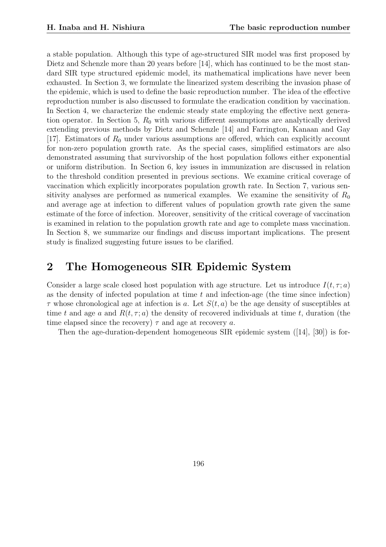a stable population. Although this type of age-structured SIR model was first proposed by Dietz and Schenzle more than 20 years before [14], which has continued to be the most standard SIR type structured epidemic model, its mathematical implications have never been exhausted. In Section 3, we formulate the linearized system describing the invasion phase of the epidemic, which is used to define the basic reproduction number. The idea of the effective reproduction number is also discussed to formulate the eradication condition by vaccination. In Section 4, we characterize the endemic steady state employing the effective next generation operator. In Section 5,  $R_0$  with various different assumptions are analytically derived extending previous methods by Dietz and Schenzle [14] and Farrington, Kanaan and Gay [17]. Estimators of  $R_0$  under various assumptions are offered, which can explicitly account for non-zero population growth rate. As the special cases, simplified estimators are also demonstrated assuming that survivorship of the host population follows either exponential or uniform distribution. In Section 6, key issues in immunization are discussed in relation to the threshold condition presented in previous sections. We examine critical coverage of vaccination which explicitly incorporates population growth rate. In Section 7, various sensitivity analyses are performed as numerical examples. We examine the sensitivity of  $R_0$ and average age at infection to different values of population growth rate given the same estimate of the force of infection. Moreover, sensitivity of the critical coverage of vaccination is examined in relation to the population growth rate and age to complete mass vaccination. In Section 8, we summarize our findings and discuss important implications. The present study is finalized suggesting future issues to be clarified.

## 2 The Homogeneous SIR Epidemic System

Consider a large scale closed host population with age structure. Let us introduce  $I(t, \tau; a)$ as the density of infected population at time  $t$  and infection-age (the time since infection)  $\tau$  whose chronological age at infection is a. Let  $S(t, a)$  be the age density of susceptibles at time t and age a and  $R(t, \tau; a)$  the density of recovered individuals at time t, duration (the time elapsed since the recovery)  $\tau$  and age at recovery a.

Then the age-duration-dependent homogeneous SIR epidemic system ([14], [30]) is for-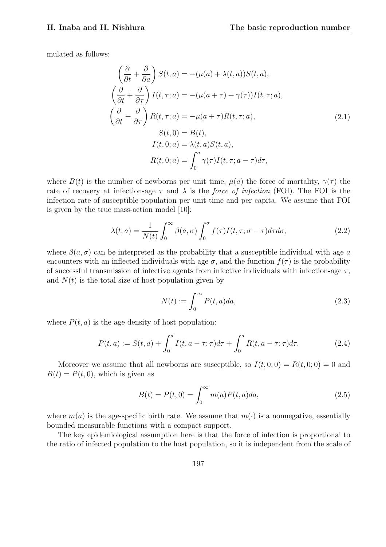mulated as follows:

$$
\left(\frac{\partial}{\partial t} + \frac{\partial}{\partial a}\right) S(t, a) = -(\mu(a) + \lambda(t, a)) S(t, a),
$$
\n
$$
\left(\frac{\partial}{\partial t} + \frac{\partial}{\partial \tau}\right) I(t, \tau; a) = -(\mu(a + \tau) + \gamma(\tau)) I(t, \tau; a),
$$
\n
$$
\left(\frac{\partial}{\partial t} + \frac{\partial}{\partial \tau}\right) R(t, \tau; a) = -\mu(a + \tau) R(t, \tau; a),
$$
\n
$$
S(t, 0) = B(t),
$$
\n
$$
I(t, 0; a) = \lambda(t, a) S(t, a),
$$
\n
$$
R(t, 0; a) = \int_0^a \gamma(\tau) I(t, \tau; a - \tau) d\tau,
$$
\n(2.1)

where  $B(t)$  is the number of newborns per unit time,  $\mu(a)$  the force of mortality,  $\gamma(\tau)$  the rate of recovery at infection-age  $\tau$  and  $\lambda$  is the force of infection (FOI). The FOI is the infection rate of susceptible population per unit time and per capita. We assume that FOI is given by the true mass-action model [10]:

$$
\lambda(t,a) = \frac{1}{N(t)} \int_0^\infty \beta(a,\sigma) \int_0^\sigma f(\tau) I(t,\tau;\sigma-\tau) d\tau d\sigma,\tag{2.2}
$$

where  $\beta(a,\sigma)$  can be interpreted as the probability that a susceptible individual with age a encounters with an inflected individuals with age  $\sigma$ , and the function  $f(\tau)$  is the probability of successful transmission of infective agents from infective individuals with infection-age  $\tau$ , and  $N(t)$  is the total size of host population given by

$$
N(t) := \int_0^\infty P(t, a) da,\tag{2.3}
$$

where  $P(t, a)$  is the age density of host population:

$$
P(t, a) := S(t, a) + \int_0^a I(t, a - \tau; \tau) d\tau + \int_0^a R(t, a - \tau; \tau) d\tau.
$$
 (2.4)

Moreover we assume that all newborns are susceptible, so  $I(t, 0; 0) = R(t, 0; 0) = 0$  and  $B(t) = P(t, 0)$ , which is given as

$$
B(t) = P(t,0) = \int_0^\infty m(a)P(t,a)da,
$$
\n(2.5)

where  $m(a)$  is the age-specific birth rate. We assume that  $m(\cdot)$  is a nonnegative, essentially bounded measurable functions with a compact support.

The key epidemiological assumption here is that the force of infection is proportional to the ratio of infected population to the host population, so it is independent from the scale of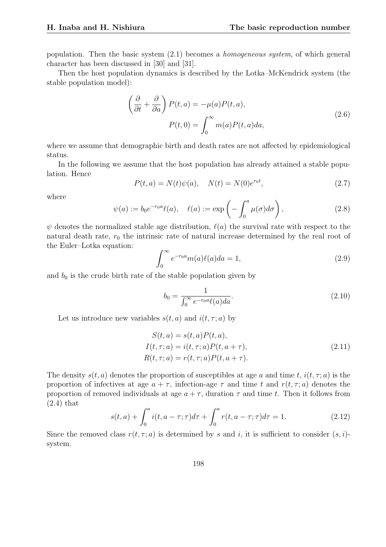population. Then the basic system (2.1) becomes a homogeneous system, of which general character has been discussed in [30] and [31].

Then the host population dynamics is described by the Lotka–McKendrick system (the stable population model):

$$
\left(\frac{\partial}{\partial t} + \frac{\partial}{\partial a}\right) P(t, a) = -\mu(a)P(t, a),
$$
\n
$$
P(t, 0) = \int_0^\infty m(a)P(t, a)da,
$$
\n(2.6)

where we assume that demographic birth and death rates are not affected by epidemiological status.

In the following we assume that the host population has already attained a stable population. Hence

$$
P(t, a) = N(t)\psi(a), \quad N(t) = N(0)e^{r_0 t}, \tag{2.7}
$$

where

$$
\psi(a) := b_0 e^{-r_0 a} \ell(a), \quad \ell(a) := \exp\left(-\int_0^a \mu(\sigma) d\sigma\right), \tag{2.8}
$$

 $\psi$  denotes the normalized stable age distribution,  $\ell(a)$  the survival rate with respect to the natural death rate,  $r_0$  the intrinsic rate of natural increase determined by the real root of the Euler–Lotka equation:  $\overline{r^{\infty}}$ 

$$
\int_0^\infty e^{-r_0 a} m(a) \ell(a) da = 1,\tag{2.9}
$$

and  $b_0$  is the crude birth rate of the stable population given by

$$
b_0 = \frac{1}{\int_0^\infty e^{-r_0 a} \ell(a) da}.
$$
\n(2.10)

Let us introduce new variables  $s(t, a)$  and  $i(t, \tau; a)$  by

$$
S(t, a) = s(t, a)P(t, a),
$$
  
\n
$$
I(t, \tau; a) = i(t, \tau; a)P(t, a + \tau),
$$
  
\n
$$
R(t, \tau; a) = r(t, \tau; a)P(t, a + \tau).
$$
\n(2.11)

The density  $s(t, a)$  denotes the proportion of susceptibles at age a and time t,  $i(t, \tau; a)$  is the proportion of infectives at age  $a + \tau$ , infection-age  $\tau$  and time t and  $r(t, \tau; a)$  denotes the proportion of removed individuals at age  $a + \tau$ , duration  $\tau$  and time t. Then it follows from (2.4) that  $\overline{r}$ 

$$
s(t,a) + \int_0^a i(t, a - \tau; \tau) d\tau + \int_0^a r(t, a - \tau; \tau) d\tau = 1.
$$
 (2.12)

Since the removed class  $r(t, \tau; a)$  is determined by s and i, it is sufficient to consider  $(s, i)$ system.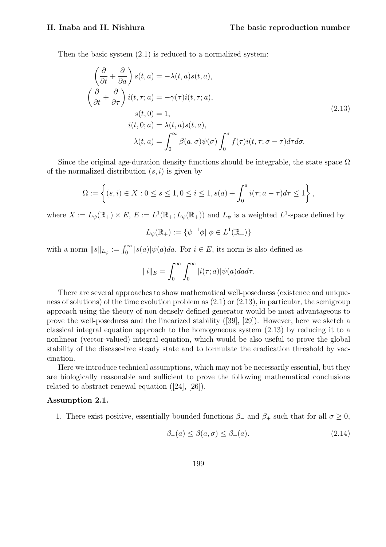Then the basic system (2.1) is reduced to a normalized system:

$$
\left(\frac{\partial}{\partial t} + \frac{\partial}{\partial a}\right) s(t, a) = -\lambda(t, a)s(t, a),
$$
\n
$$
\left(\frac{\partial}{\partial t} + \frac{\partial}{\partial \tau}\right) i(t, \tau; a) = -\gamma(\tau) i(t, \tau; a),
$$
\n
$$
s(t, 0) = 1,
$$
\n
$$
i(t, 0; a) = \lambda(t, a)s(t, a),
$$
\n
$$
\lambda(t, a) = \int_0^\infty \beta(a, \sigma)\psi(\sigma) \int_0^\sigma f(\tau) i(t, \tau; \sigma - \tau) d\tau d\sigma.
$$
\n(2.13)

Since the original age-duration density functions should be integrable, the state space  $\Omega$ of the normalized distribution  $(s, i)$  is given by

$$
\Omega := \left\{ (s, i) \in X : 0 \le s \le 1, 0 \le i \le 1, s(a) + \int_0^a i(\tau; a - \tau) d\tau \le 1 \right\},\
$$

where  $X := L_{\psi}(\mathbb{R}_{+}) \times E$ ,  $E := L^{1}(\mathbb{R}_{+}; L_{\psi}(\mathbb{R}_{+}))$  and  $L_{\psi}$  is a weighted  $L^{1}$ -space defined by

$$
L_{\psi}(\mathbb{R}_{+}) := \{ \psi^{-1}\phi | \phi \in L^{1}(\mathbb{R}_{+}) \}
$$

with a norm  $||s||_{L_{\psi}} := \int_0^{\infty} |s(a)| \psi(a) da$ . For  $i \in E$ , its norm is also defined as

$$
||i||_E = \int_0^\infty \int_0^\infty |i(\tau; a)| \psi(a) da d\tau.
$$

There are several approaches to show mathematical well-posedness (existence and uniqueness of solutions) of the time evolution problem as (2.1) or (2.13), in particular, the semigroup approach using the theory of non densely defined generator would be most advantageous to prove the well-posedness and the linearized stability ([39], [29]). However, here we sketch a classical integral equation approach to the homogeneous system (2.13) by reducing it to a nonlinear (vector-valued) integral equation, which would be also useful to prove the global stability of the disease-free steady state and to formulate the eradication threshold by vaccination.

Here we introduce technical assumptions, which may not be necessarily essential, but they are biologically reasonable and sufficient to prove the following mathematical conclusions related to abstract renewal equation ([24], [26]).

#### Assumption 2.1.

1. There exist positive, essentially bounded functions  $\beta_-$  and  $\beta_+$  such that for all  $\sigma \geq 0$ ,

$$
\beta_{-}(a) \le \beta(a,\sigma) \le \beta_{+}(a). \tag{2.14}
$$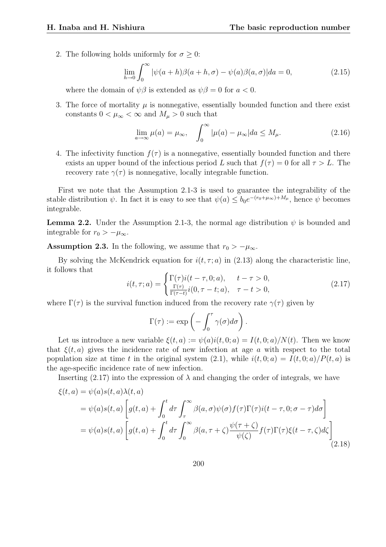2. The following holds uniformly for  $\sigma \geq 0$ :

$$
\lim_{h \to 0} \int_0^\infty |\psi(a+h)\beta(a+h,\sigma) - \psi(a)\beta(a,\sigma)| da = 0,
$$
\n(2.15)

where the domain of  $\psi \beta$  is extended as  $\psi \beta = 0$  for  $a < 0$ .

3. The force of mortality  $\mu$  is nonnegative, essentially bounded function and there exist constants  $0 < \mu_{\infty} < \infty$  and  $M_{\mu} > 0$  such that

$$
\lim_{a \to \infty} \mu(a) = \mu_{\infty}, \quad \int_0^{\infty} |\mu(a) - \mu_{\infty}| da \le M_{\mu}.
$$
 (2.16)

4. The infectivity function  $f(\tau)$  is a nonnegative, essentially bounded function and there exists an upper bound of the infectious period L such that  $f(\tau) = 0$  for all  $\tau > L$ . The recovery rate  $\gamma(\tau)$  is nonnegative, locally integrable function.

First we note that the Assumption 2.1-3 is used to guarantee the integrability of the stable distribution  $\psi$ . In fact it is easy to see that  $\psi(a) \leq b_0 e^{-(r_0 + \mu_\infty) + M_\mu}$ , hence  $\psi$  becomes integrable.

**Lemma 2.2.** Under the Assumption 2.1-3, the normal age distribution  $\psi$  is bounded and integrable for  $r_0 > -\mu_\infty$ .

**Assumption 2.3.** In the following, we assume that  $r_0 > -\mu_\infty$ .

By solving the McKendrick equation for  $i(t, \tau; a)$  in (2.13) along the characteristic line, it follows that

$$
i(t, \tau; a) = \begin{cases} \Gamma(\tau) i(t - \tau, 0; a), & t - \tau > 0, \\ \frac{\Gamma(\tau)}{\Gamma(\tau - t)} i(0, \tau - t; a), & \tau - t > 0, \end{cases}
$$
(2.17)

where  $\Gamma(\tau)$  is the survival function induced from the recovery rate  $\gamma(\tau)$  given by

$$
\Gamma(\tau) := \exp\left(-\int_0^{\tau} \gamma(\sigma) d\sigma\right).
$$

Let us introduce a new variable  $\xi(t, a) := \psi(a)i(t, 0; a) = I(t, 0; a)/N(t)$ . Then we know that  $\xi(t, a)$  gives the incidence rate of new infection at age a with respect to the total population size at time t in the original system (2.1), while  $i(t, 0; a) = I(t, 0; a)/P(t, a)$  is the age-specific incidence rate of new infection.

Inserting (2.17) into the expression of  $\lambda$  and changing the order of integrals, we have

$$
\xi(t, a) = \psi(a)s(t, a)\lambda(t, a)
$$
  
=  $\psi(a)s(t, a)\left[g(t, a) + \int_0^t d\tau \int_\tau^\infty \beta(a, \sigma)\psi(\sigma)f(\tau)\Gamma(\tau)i(t - \tau, 0; \sigma - \tau)d\sigma\right]$   
=  $\psi(a)s(t, a)\left[g(t, a) + \int_0^t d\tau \int_0^\infty \beta(a, \tau + \zeta)\frac{\psi(\tau + \zeta)}{\psi(\zeta)}f(\tau)\Gamma(\tau)\xi(t - \tau, \zeta)d\zeta\right]$ (2.18)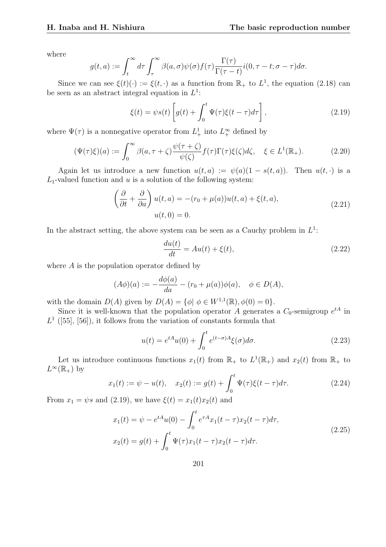where

$$
g(t,a) := \int_t^{\infty} d\tau \int_{\tau}^{\infty} \beta(a,\sigma) \psi(\sigma) f(\tau) \frac{\Gamma(\tau)}{\Gamma(\tau-t)} i(0,\tau-t;\sigma-\tau) d\sigma.
$$

Since we can see  $\xi(t)(\cdot) := \xi(t, \cdot)$  as a function from  $\mathbb{R}_+$  to  $L^1$ , the equation (2.18) can be seen as an abstract integral equation in  $L^1$ :

$$
\xi(t) = \psi s(t) \left[ g(t) + \int_0^t \Psi(\tau) \xi(t - \tau) d\tau \right],
$$
\n(2.19)

where  $\Psi(\tau)$  is a nonnegative operator from  $L^1_+$  into  $L^\infty_+$  defined by

$$
(\Psi(\tau)\xi)(a) := \int_0^\infty \beta(a,\tau+\zeta) \frac{\psi(\tau+\zeta)}{\psi(\zeta)} f(\tau) \Gamma(\tau)\xi(\zeta) d\zeta, \quad \xi \in L^1(\mathbb{R}_+). \tag{2.20}
$$

Again let us introduce a new function  $u(t, a) := \psi(a)(1 - s(t, a))$ . Then  $u(t, \cdot)$  is a  $L_1$ -valued function and u is a solution of the following system:

$$
\left(\frac{\partial}{\partial t} + \frac{\partial}{\partial a}\right)u(t, a) = -(r_0 + \mu(a))u(t, a) + \xi(t, a),
$$
\n
$$
u(t, 0) = 0.
$$
\n(2.21)

In the abstract setting, the above system can be seen as a Cauchy problem in  $L^1$ :

$$
\frac{du(t)}{dt} = Au(t) + \xi(t),\tag{2.22}
$$

where  $A$  is the population operator defined by

$$
(A\phi)(a) := -\frac{d\phi(a)}{da} - (r_0 + \mu(a))\phi(a), \quad \phi \in D(A),
$$

with the domain  $D(A)$  given by  $D(A) = \{ \phi | \phi \in W^{1,1}(\mathbb{R}), \phi(0) = 0 \}.$ 

Since it is well-known that the population operator A generates a  $C_0$ -semigroup  $e^{tA}$  in  $L<sup>1</sup>$  ([55], [56]), it follows from the variation of constants formula that

$$
u(t) = e^{tA}u(0) + \int_0^t e^{(t-\sigma)A}\xi(\sigma)d\sigma.
$$
\n(2.23)

Let us introduce continuous functions  $x_1(t)$  from  $\mathbb{R}_+$  to  $L^1(\mathbb{R}_+)$  and  $x_2(t)$  from  $\mathbb{R}_+$  to  $L^{\infty}(\mathbb{R}_+)$  by

$$
x_1(t) := \psi - u(t), \quad x_2(t) := g(t) + \int_0^t \Psi(\tau) \xi(t - \tau) d\tau.
$$
 (2.24)

From  $x_1 = \psi s$  and (2.19), we have  $\xi(t) = x_1(t)x_2(t)$  and

$$
x_1(t) = \psi - e^{tA}u(0) - \int_0^t e^{\tau A}x_1(t-\tau)x_2(t-\tau)d\tau,
$$
  
\n
$$
x_2(t) = g(t) + \int_0^t \Psi(\tau)x_1(t-\tau)x_2(t-\tau)d\tau.
$$
\n(2.25)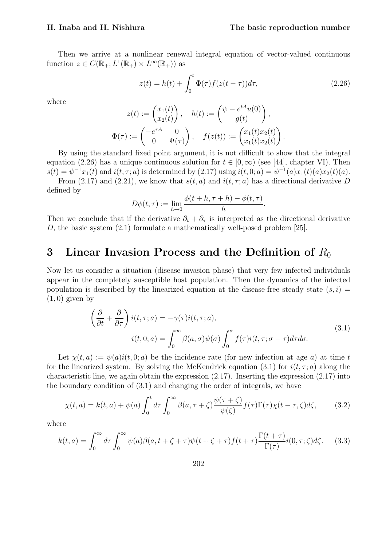Then we arrive at a nonlinear renewal integral equation of vector-valued continuous function  $z \in C(\mathbb{R}_+; L^1(\mathbb{R}_+) \times L^{\infty}(\mathbb{R}_+))$  as

$$
z(t) = h(t) + \int_0^t \Phi(\tau) f(z(t-\tau)) d\tau,
$$
\n(2.26)

.

where

$$
z(t) := \begin{pmatrix} x_1(t) \\ x_2(t) \end{pmatrix}, \quad h(t) := \begin{pmatrix} \psi - e^{tA}u(0) \\ g(t) \end{pmatrix},
$$

$$
\Phi(\tau) := \begin{pmatrix} -e^{\tau A} & 0 \\ 0 & \Psi(\tau) \end{pmatrix}, \quad f(z(t)) := \begin{pmatrix} x_1(t)x_2(t) \\ x_1(t)x_2(t) \end{pmatrix}.
$$

By using the standard fixed point argument, it is not difficult to show that the integral equation (2.26) has a unique continuous solution for  $t \in [0,\infty)$  (see [44], chapter VI). Then  $s(t) = \psi^{-1}x_1(t)$  and  $i(t, \tau; a)$  is determined by  $(2.17)$  using  $i(t, 0; a) = \psi^{-1}(a)x_1(t)(a)x_2(t)(a)$ . From (2.17) and (2.21), we know that  $s(t, a)$  and  $i(t, \tau; a)$  has a directional derivative D

defined by

$$
D\phi(t,\tau) := \lim_{h \to 0} \frac{\phi(t+h,\tau+h) - \phi(t,\tau)}{h}
$$

Then we conclude that if the derivative  $\partial_t + \partial_\tau$  is interpreted as the directional derivative D, the basic system (2.1) formulate a mathematically well-posed problem [25].

#### 3 Linear Invasion Process and the Definition of  $R_0$

Now let us consider a situation (disease invasion phase) that very few infected individuals appear in the completely susceptible host population. Then the dynamics of the infected population is described by the linearized equation at the disease-free steady state  $(s, i)$  =  $(1, 0)$  given by

$$
\left(\frac{\partial}{\partial t} + \frac{\partial}{\partial \tau}\right) i(t, \tau; a) = -\gamma(\tau) i(t, \tau; a),
$$
\n
$$
i(t, 0; a) = \int_0^\infty \beta(a, \sigma) \psi(\sigma) \int_0^\sigma f(\tau) i(t, \tau; \sigma - \tau) d\tau d\sigma.
$$
\n(3.1)

Let  $\chi(t, a) := \psi(a) i(t, 0; a)$  be the incidence rate (for new infection at age a) at time t for the linearized system. By solving the McKendrick equation (3.1) for  $i(t, \tau; a)$  along the characteristic line, we again obtain the expression (2.17). Inserting the expression (2.17) into the boundary condition of (3.1) and changing the order of integrals, we have

$$
\chi(t,a) = k(t,a) + \psi(a) \int_0^t d\tau \int_0^\infty \beta(a,\tau+\zeta) \frac{\psi(\tau+\zeta)}{\psi(\zeta)} f(\tau) \Gamma(\tau) \chi(t-\tau,\zeta) d\zeta, \tag{3.2}
$$

where

$$
k(t,a) = \int_0^\infty d\tau \int_0^\infty \psi(a)\beta(a,t+\zeta+\tau)\psi(t+\zeta+\tau)f(t+\tau)\frac{\Gamma(t+\tau)}{\Gamma(\tau)}i(0,\tau;\zeta)d\zeta.
$$
 (3.3)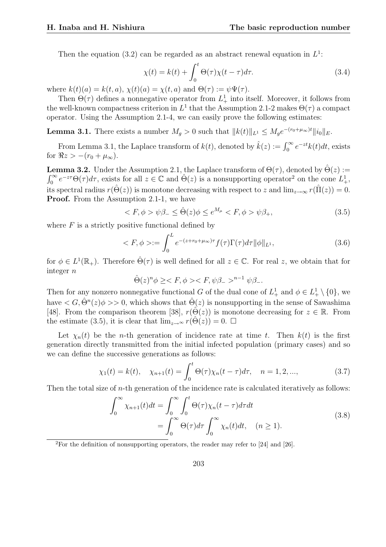Then the equation (3.2) can be regarded as an abstract renewal equation in  $L^1$ :

$$
\chi(t) = k(t) + \int_0^t \Theta(\tau) \chi(t - \tau) d\tau.
$$
\n(3.4)

where  $k(t)(a) = k(t, a), \chi(t)(a) = \chi(t, a)$  and  $\Theta(\tau) := \psi \Psi(\tau)$ .

Then  $\Theta(\tau)$  defines a nonnegative operator from  $L^1_+$  into itself. Moreover, it follows from the well-known compactness criterion in  $L^1$  that the Assumption 2.1-2 makes  $\Theta(\tau)$  a compact operator. Using the Assumption 2.1-4, we can easily prove the following estimates:

**Lemma 3.1.** There exists a number  $M_g > 0$  such that  $||k(t)||_{L^1} \leq M_ge^{-(r_0+\mu_\infty)t}||i_0||_E$ .

From Lemma 3.1, the Laplace transform of  $k(t)$ , denoted by  $\hat{k}(z) := \int_0^\infty e^{-zt} k(t) dt$ , exists for  $\Re z > -(r_0 + \mu_\infty)$ .

**Lemma 3.2.** Under the Assumption 2.1, the Laplace transform of  $\Theta(\tau)$ , denoted by  $\hat{\Theta}(z) :=$  $\mathop{\mathrm{res}}\limits_0^\infty$  $\int_0^\infty e^{-z\tau}\Theta(\tau)d\tau$ , exists for all  $z\in\mathbb{C}$  and  $\Theta(z)$  is a nonsupporting operator<sup>2</sup> on the cone  $L^1_+$ , its spectral radius  $r(\hat{\Theta}(z))$  is monotone decreasing with respect to z and  $\lim_{z\to\infty} r(\hat{\Pi}(z)) = 0$ . **Proof.** From the Assumption 2.1-1, we have

$$
\langle F, \phi \rangle \psi \beta_- \le \hat{\Theta}(z) \phi \le e^{M_\mu} \langle F, \phi \rangle \psi \beta_+, \tag{3.5}
$$

where  $F$  is a strictly positive functional defined by

$$
\langle F, \phi \rangle := \int_0^L e^{-(z+r_0+\mu_\infty)\tau} f(\tau) \Gamma(\tau) d\tau ||\phi||_{L^1}, \tag{3.6}
$$

for  $\phi \in L^1(\mathbb{R}_+)$ . Therefore  $\hat{\Theta}(\tau)$  is well defined for all  $z \in \mathbb{C}$ . For real z, we obtain that for integer n

$$
\hat{\Theta}(z)^n \phi \geq \langle F, \phi \rangle \langle F, \psi \beta_- \rangle^{n-1} \psi \beta_-.
$$

Then for any nonzero nonnegative functional G of the dual cone of  $L^1_+$  and  $\phi \in L^1_+ \setminus \{0\}$ , we have  $\langle G, \hat{\Theta}^n(z)\phi \rangle > 0$ , which shows that  $\hat{\Theta}(z)$  is nonsupporting in the sense of Sawashima [48]. From the comparison theorem [38],  $r(\hat{\Theta}(z))$  is monotone decreasing for  $z \in \mathbb{R}$ . From the estimate (3.5), it is clear that  $\lim_{z\to\infty} r(\hat{\Theta}(z)) = 0$ .  $\Box$ 

Let  $\chi_n(t)$  be the *n*-th generation of incidence rate at time t. Then  $k(t)$  is the first generation directly transmitted from the initial infected population (primary cases) and so we can define the successive generations as follows:

$$
\chi_1(t) = k(t), \quad \chi_{n+1}(t) = \int_0^t \Theta(\tau) \chi_n(t - \tau) d\tau, \quad n = 1, 2, ...,
$$
\n(3.7)

Then the total size of *n*-th generation of the incidence rate is calculated iteratively as follows:

$$
\int_0^\infty \chi_{n+1}(t)dt = \int_0^\infty \int_0^t \Theta(\tau)\chi_n(t-\tau)d\tau dt
$$
  
= 
$$
\int_0^\infty \Theta(\tau)d\tau \int_0^\infty \chi_n(t)dt, \quad (n \ge 1).
$$
 (3.8)

<sup>2</sup>For the definition of nonsupporting operators, the reader may refer to [24] and [26].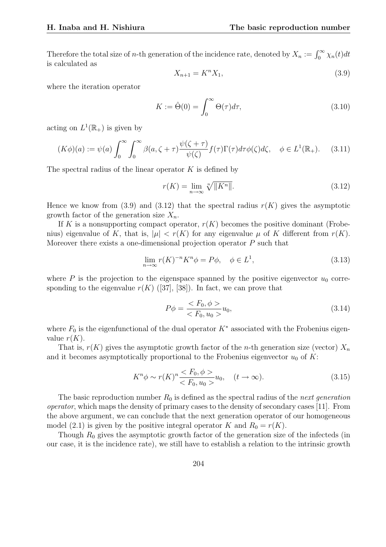Therefore the total size of *n*-th generation of the incidence rate, denoted by  $X_n := \int_0^\infty \chi_n(t) dt$ is calculated as

$$
X_{n+1} = K^n X_1,\tag{3.9}
$$

where the iteration operator

$$
K := \hat{\Theta}(0) = \int_0^\infty \Theta(\tau) d\tau,
$$
\n(3.10)

acting on  $L^1(\mathbb{R}_+)$  is given by

$$
(K\phi)(a) := \psi(a) \int_0^\infty \int_0^\infty \beta(a,\zeta+\tau) \frac{\psi(\zeta+\tau)}{\psi(\zeta)} f(\tau) \Gamma(\tau) d\tau \phi(\zeta) d\zeta, \quad \phi \in L^1(\mathbb{R}_+). \tag{3.11}
$$

The spectral radius of the linear operator  $K$  is defined by

$$
r(K) = \lim_{n \to \infty} \sqrt[n]{\|K^n\|}.
$$
\n(3.12)

Hence we know from (3.9) and (3.12) that the spectral radius  $r(K)$  gives the asymptotic growth factor of the generation size  $X_n$ .

If K is a nonsupporting compact operator,  $r(K)$  becomes the positive dominant (Frobenius) eigenvalue of K, that is,  $|\mu| < r(K)$  for any eigenvalue  $\mu$  of K different from  $r(K)$ . Moreover there exists a one-dimensional projection operator  $P$  such that

$$
\lim_{n \to \infty} r(K)^{-n} K^n \phi = P\phi, \quad \phi \in L^1,
$$
\n(3.13)

where P is the projection to the eigenspace spanned by the positive eigenvector  $u_0$  corresponding to the eigenvalue  $r(K)$  ([37], [38]). In fact, we can prove that

$$
P\phi = \frac{\langle F_0, \phi \rangle}{\langle F_0, u_0 \rangle} u_0,\tag{3.14}
$$

where  $F_0$  is the eigenfunctional of the dual operator  $K^*$  associated with the Frobenius eigenvalue  $r(K)$ .

That is,  $r(K)$  gives the asymptotic growth factor of the *n*-th generation size (vector)  $X_n$ and it becomes asymptotically proportional to the Frobenius eigenvector  $u_0$  of K:

$$
K^n \phi \sim r(K)^n \frac{\langle F_0, \phi \rangle}{\langle F_0, u_0 \rangle} u_0, \quad (t \to \infty).
$$
 (3.15)

The basic reproduction number  $R_0$  is defined as the spectral radius of the *next generation* operator, which maps the density of primary cases to the density of secondary cases [11]. From the above argument, we can conclude that the next generation operator of our homogeneous model (2.1) is given by the positive integral operator K and  $R_0 = r(K)$ .

Though  $R_0$  gives the asymptotic growth factor of the generation size of the infecteds (in our case, it is the incidence rate), we still have to establish a relation to the intrinsic growth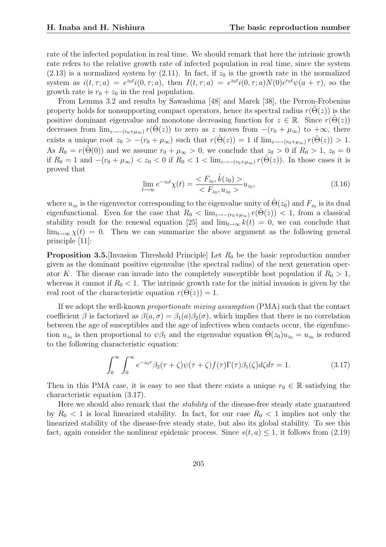rate of the infected population in real time. We should remark that here the intrinsic growth rate refers to the relative growth rate of infected population in real time, since the system  $(2.13)$  is a normalized system by  $(2.11)$ . In fact, if  $z_0$  is the growth rate in the normalized system as  $i(t, \tau; a) = e^{z_0 t} i(0, \tau; a)$ , then  $I(t, \tau; a) = e^{z_0 t} i(0, \tau; a) N(0) e^{r_0 t} \psi(a + \tau)$ , so the growth rate is  $r_0 + z_0$  in the real population.

From Lemma 3.2 and results by Sawashima [48] and Marek [38], the Perron-Frobenius property holds for nonsupporting compact operators, hence its spectral radius  $r(\Theta(z))$  is the positive dominant eigenvalue and monotone decreasing function for  $z \in \mathbb{R}$ . Since  $r(\Theta(z))$ decreases from  $\lim_{z\to -(r_0+\mu_\infty)} r(\Theta(z))$  to zero as z moves from  $-(r_0+\mu_\infty)$  to  $+\infty$ , there exists a unique root  $z_0 > -(r_0 + \mu_\infty)$  such that  $r(\hat{\Theta}(z)) = 1$  if  $\lim_{z \to -(r_0 + \mu_\infty)} r(\hat{\Theta}(z)) > 1$ . As  $R_0 = r(\Theta(0))$  and we assume  $r_0 + \mu_\infty > 0$ , we conclude that  $z_0 > 0$  if  $R_0 > 1$ ,  $z_0 = 0$ if  $R_0 = 1$  and  $-(r_0 + \mu_\infty) < z_0 < 0$  if  $R_0 < 1 < \lim_{z \to -(r_0 + \mu_\infty)} r(\hat{\Theta}(z))$ . In those cases it is proved that

$$
\lim_{t \to \infty} e^{-z_0 t} \chi(t) = \frac{\langle F_{z_0}, \hat{k}(z_0) \rangle}{\langle F_{z_0}, u_{z_0} \rangle} u_{z_0},\tag{3.16}
$$

where  $u_{z_0}$  is the eigenvector corresponding to the eigenvalue unity of  $\hat{\Theta}(z_0)$  and  $F_{z_0}$  is its dual eigenfunctional. Even for the case that  $R_0 < \lim_{z \to -(r_0 + \mu_\infty)} r(\Theta(z)) < 1$ , from a classical stability result for the renewal equation [25] and  $\lim_{t\to\infty} k(t) = 0$ , we can conclude that  $\lim_{t\to\infty} \chi(t) = 0$ . Then we can summarize the above argument as the following general principle [11]:

**Proposition 3.5.** [Invasion Threshold Principle] Let  $R_0$  be the basic reproduction number given as the dominant positive eigenvalue (the spectral radius) of the next generation operator K. The disease can invade into the completely susceptible host population if  $R_0 > 1$ , whereas it cannot if  $R_0 < 1$ . The intrinsic growth rate for the initial invasion is given by the real root of the characteristic equation  $r(\Theta(z)) = 1$ .

If we adopt the well-known proportionate mixing assumption (PMA) such that the contact coefficient  $\beta$  is factorized as  $\beta(a,\sigma) = \beta_1(a)\beta_2(\sigma)$ , which implies that there is no correlation between the age of susceptibles and the age of infectives when contacts occur, the eigenfunction  $u_{z_0}$  is then proportional to  $\psi \beta_1$  and the eigenvalue equation  $\hat{\Theta}(z_0)u_{z_0} = u_{z_0}$  is reduced to the following characteristic equation:

$$
\int_0^\infty \int_0^\infty e^{-z_0 \tau} \beta_2(\tau + \zeta) \psi(\tau + \zeta) f(\tau) \Gamma(\tau) \beta_1(\zeta) d\zeta d\tau = 1.
$$
 (3.17)

Then in this PMA case, it is easy to see that there exists a unique  $r_0 \in \mathbb{R}$  satisfying the characteristic equation (3.17).

Here we should also remark that the stability of the disease-free steady state guaranteed by  $R_0 < 1$  is local linearized stability. In fact, for our case  $R_0 < 1$  implies not only the linearized stability of the disease-free steady state, but also its global stability. To see this fact, again consider the nonlinear epidemic process. Since  $s(t, a) \leq 1$ , it follows from (2.19)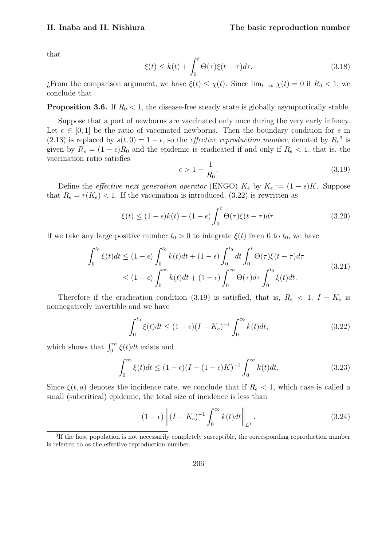that

$$
\xi(t) \le k(t) + \int_0^t \Theta(\tau) \xi(t - \tau) d\tau.
$$
\n(3.18)

¿From the comparison argument, we have  $\xi(t) \leq \chi(t)$ . Since  $\lim_{t\to\infty} \chi(t) = 0$  if  $R_0 < 1$ , we conclude that

**Proposition 3.6.** If  $R_0 < 1$ , the disease-free steady state is globally asymptotically stable.

Suppose that a part of newborns are vaccinated only once during the very early infancy. Let  $\epsilon \in [0,1]$  be the ratio of vaccinated newborns. Then the boundary condition for s in (2.13) is replaced by  $s(t, 0) = 1 - \epsilon$ , so the *effective reproduction number*, denoted by  $R_e^3$  is given by  $R_e = (1 - \epsilon)R_0$  and the epidemic is eradicated if and only if  $R_e < 1$ , that is, the vaccination ratio satisfies

$$
\epsilon > 1 - \frac{1}{R_0}.\tag{3.19}
$$

Define the *effective next generation operator* (ENGO)  $K_e$  by  $K_e := (1 - \epsilon)K$ . Suppose that  $R_e = r(K_e) < 1$ . If the vaccination is introduced, (3.22) is rewritten as

$$
\xi(t) \le (1 - \epsilon)k(t) + (1 - \epsilon) \int_0^t \Theta(\tau)\xi(t - \tau)d\tau.
$$
 (3.20)

If we take any large positive number  $t_0 > 0$  to integrate  $\xi(t)$  from 0 to  $t_0$ , we have

$$
\int_0^{t_0} \xi(t)dt \le (1 - \epsilon) \int_0^{t_0} k(t)dt + (1 - \epsilon) \int_0^{t_0} dt \int_0^t \Theta(\tau)\xi(t - \tau)d\tau
$$
\n
$$
\le (1 - \epsilon) \int_0^\infty k(t)dt + (1 - \epsilon) \int_0^\infty \Theta(\tau)d\tau \int_0^{t_0} \xi(t)dt.
$$
\n(3.21)

Therefore if the eradication condition (3.19) is satisfied, that is,  $R_e < 1$ ,  $I - K_e$  is nonnegatively invertible and we have

$$
\int_0^{t_0} \xi(t)dt \le (1 - \epsilon)(I - K_e)^{-1} \int_0^{\infty} k(t)dt,
$$
\n(3.22)

which shows that  $\int_0^\infty \xi(t)dt$  exists and

$$
\int_0^\infty \xi(t)dt \le (1 - \epsilon)(I - (1 - \epsilon)K)^{-1} \int_0^\infty k(t)dt.
$$
\n(3.23)

Since  $\xi(t, a)$  denotes the incidence rate, we conclude that if  $R_e < 1$ , which case is called a small (subcritical) epidemic, the total size of incidence is less than

$$
(1 - \epsilon) \left\| (I - K_e)^{-1} \int_0^\infty k(t) dt \right\|_{L^1}.
$$
\n(3.24)

<sup>&</sup>lt;sup>3</sup>If the host population is not necessarily completely susceptible, the corresponding reproduction number is referred to as the effective reproduction number.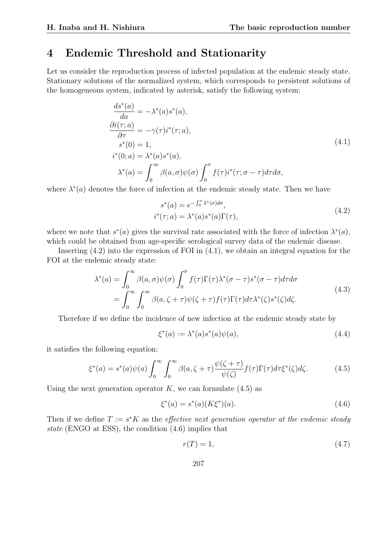#### 4 Endemic Threshold and Stationarity

Let us consider the reproduction process of infected population at the endemic steady state. Stationary solutions of the normalized system, which corresponds to persistent solutions of the homogeneous system, indicated by asterisk, satisfy the following system:

$$
\frac{ds^*(a)}{da} = -\lambda^*(a)s^*(a),
$$
  
\n
$$
\frac{\partial i(\tau; a)}{\partial \tau} = -\gamma(\tau)i^*(\tau; a),
$$
  
\n
$$
s^*(0) = 1,
$$
  
\n
$$
i^*(0; a) = \lambda^*(a)s^*(a),
$$
  
\n
$$
\lambda^*(a) = \int_0^\infty \beta(a, \sigma)\psi(\sigma) \int_0^\sigma f(\tau)i^*(\tau; \sigma - \tau)d\tau d\sigma,
$$
\n(4.1)

where  $\lambda^*(a)$  denotes the force of infection at the endemic steady state. Then we have

$$
s^*(a) = e^{-\int_0^a \lambda^*(\sigma)d\sigma},
$$
  
\n
$$
i^*(\tau; a) = \lambda^*(a)s^*(a)\Gamma(\tau),
$$
\n(4.2)

where we note that  $s^*(a)$  gives the survival rate associated with the force of infection  $\lambda^*(a)$ , which could be obtained from age-specific serological survey data of the endemic disease.

Inserting (4.2) into the expression of FOI in (4.1), we obtain an integral equation for the FOI at the endemic steady state:

$$
\lambda^*(a) = \int_0^\infty \beta(a,\sigma)\psi(\sigma) \int_0^\sigma f(\tau)\Gamma(\tau)\lambda^*(\sigma-\tau)s^*(\sigma-\tau)d\tau d\sigma
$$
  
= 
$$
\int_0^\infty \int_0^\infty \beta(a,\zeta+\tau)\psi(\zeta+\tau)f(\tau)\Gamma(\tau)d\tau\lambda^*(\zeta)s^*(\zeta)d\zeta.
$$
 (4.3)

Therefore if we define the incidence of new infection at the endemic steady state by

$$
\xi^*(a) := \lambda^*(a)s^*(a)\psi(a),\tag{4.4}
$$

it satisfies the following equation:

$$
\xi^*(a) = s^*(a)\psi(a)\int_0^\infty \int_0^\infty \beta(a,\zeta+\tau)\frac{\psi(\zeta+\tau)}{\psi(\zeta)}f(\tau)\Gamma(\tau)d\tau \xi^*(\zeta)d\zeta.
$$
 (4.5)

Using the next generation operator  $K$ , we can formulate  $(4.5)$  as

$$
\xi^*(a) = s^*(a)(K\xi^*)(a). \tag{4.6}
$$

Then if we define  $T := s^*K$  as the *effective next generation operator at the endemic steady* state (ENGO at ESS), the condition (4.6) implies that

$$
r(T) = 1,\t\t(4.7)
$$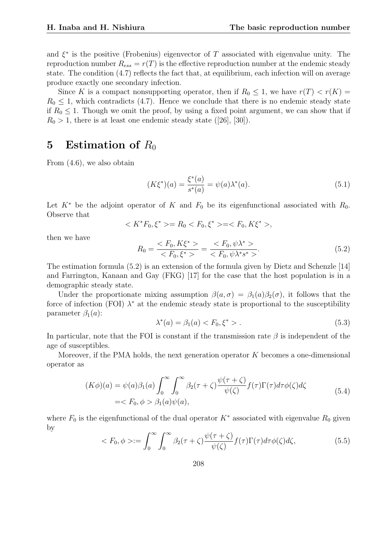and  $\xi^*$  is the positive (Frobenius) eigenvector of T associated with eigenvalue unity. The reproduction number  $R_{ess} = r(T)$  is the effective reproduction number at the endemic steady state. The condition (4.7) reflects the fact that, at equilibrium, each infection will on average produce exactly one secondary infection.

Since K is a compact nonsupporting operator, then if  $R_0 \leq 1$ , we have  $r(T) < r(K)$  $R_0 \leq 1$ , which contradicts (4.7). Hence we conclude that there is no endemic steady state if  $R_0 \leq 1$ . Though we omit the proof, by using a fixed point argument, we can show that if  $R_0 > 1$ , there is at least one endemic steady state ([26], [30]).

## 5 Estimation of  $R_0$

From (4.6), we also obtain

$$
(K\xi^*)(a) = \frac{\xi^*(a)}{s^*(a)} = \psi(a)\lambda^*(a). \tag{5.1}
$$

Let  $K^*$  be the adjoint operator of K and  $F_0$  be its eigenfunctional associated with  $R_0$ . Observe that

$$
\langle K^*F_0, \xi^* \rangle = R_0 \langle F_0, \xi^* \rangle = \langle F_0, K\xi^* \rangle,
$$

then we have

$$
R_0 = \frac{\langle F_0, K\xi^* \rangle}{\langle F_0, \xi^* \rangle} = \frac{\langle F_0, \psi \lambda^* \rangle}{\langle F_0, \psi \lambda^* s^* \rangle}.
$$
\n(5.2)

The estimation formula (5.2) is an extension of the formula given by Dietz and Schenzle [14] and Farrington, Kanaan and Gay (FKG) [17] for the case that the host population is in a demographic steady state.

Under the proportionate mixing assumption  $\beta(a,\sigma) = \beta_1(a)\beta_2(\sigma)$ , it follows that the force of infection (FOI)  $\lambda^*$  at the endemic steady state is proportional to the susceptibility parameter  $\beta_1(a)$ :

$$
\lambda^*(a) = \beta_1(a) < F_0, \xi^* > . \tag{5.3}
$$

In particular, note that the FOI is constant if the transmission rate  $\beta$  is independent of the age of susceptibles.

Moreover, if the PMA holds, the next generation operator K becomes a one-dimensional operator as

$$
(K\phi)(a) = \psi(a)\beta_1(a)\int_0^\infty \int_0^\infty \beta_2(\tau+\zeta)\frac{\psi(\tau+\zeta)}{\psi(\zeta)}f(\tau)\Gamma(\tau)d\tau\phi(\zeta)d\zeta
$$
  
= $F_0, \phi > \beta_1(a)\psi(a),$  (5.4)

where  $F_0$  is the eigenfunctional of the dual operator  $K^*$  associated with eigenvalue  $R_0$  given by  $r^{\infty}$ 

$$
\langle F_0, \phi \rangle := \int_0^\infty \int_0^\infty \beta_2(\tau + \zeta) \frac{\psi(\tau + \zeta)}{\psi(\zeta)} f(\tau) \Gamma(\tau) d\tau \phi(\zeta) d\zeta,\tag{5.5}
$$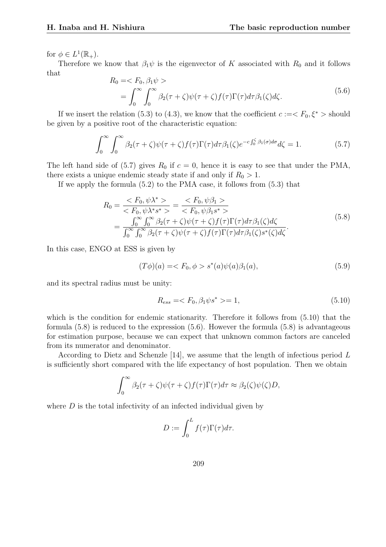for  $\phi \in L^1(\mathbb{R}_+).$ 

Therefore we know that  $\beta_1\psi$  is the eigenvector of K associated with  $R_0$  and it follows that

$$
R_0 = \langle F_0, \beta_1 \psi \rangle
$$
  
= 
$$
\int_0^\infty \int_0^\infty \beta_2(\tau + \zeta)\psi(\tau + \zeta)f(\tau)\Gamma(\tau)d\tau\beta_1(\zeta)d\zeta.
$$
 (5.6)

If we insert the relation (5.3) to (4.3), we know that the coefficient  $c := \langle F_0, \xi^* \rangle$  should be given by a positive root of the characteristic equation:

$$
\int_0^\infty \int_0^\infty \beta_2(\tau + \zeta)\psi(\tau + \zeta)f(\tau)\Gamma(\tau)d\tau \beta_1(\zeta)e^{-c\int_0^\zeta \beta_1(\sigma)d\sigma}d\zeta = 1.
$$
 (5.7)

The left hand side of (5.7) gives  $R_0$  if  $c = 0$ , hence it is easy to see that under the PMA, there exists a unique endemic steady state if and only if  $R_0 > 1$ .

If we apply the formula (5.2) to the PMA case, it follows from (5.3) that

$$
R_0 = \frac{\langle F_0, \psi \lambda^* \rangle}{\langle F_0, \psi \lambda^* s^* \rangle} = \frac{\langle F_0, \psi \beta_1 \rangle}{\langle F_0, \psi \beta_1 s^* \rangle}
$$
  
= 
$$
\frac{\int_0^\infty \int_0^\infty \beta_2(\tau + \zeta) \psi(\tau + \zeta) f(\tau) \Gamma(\tau) d\tau \beta_1(\zeta) d\zeta}{\int_0^\infty \int_0^\infty \beta_2(\tau + \zeta) \psi(\tau + \zeta) f(\tau) \Gamma(\tau) d\tau \beta_1(\zeta) s^*(\zeta) d\zeta}.
$$
(5.8)

In this case, ENGO at ESS is given by

$$
(T\phi)(a) = \langle F_0, \phi \rangle s^*(a)\psi(a)\beta_1(a), \tag{5.9}
$$

and its spectral radius must be unity:

$$
R_{ess} = \langle F_0, \beta_1 \psi s^* \rangle = 1,\tag{5.10}
$$

which is the condition for endemic stationarity. Therefore it follows from  $(5.10)$  that the formula (5.8) is reduced to the expression (5.6). However the formula (5.8) is advantageous for estimation purpose, because we can expect that unknown common factors are canceled from its numerator and denominator.

According to Dietz and Schenzle [14], we assume that the length of infectious period L is sufficiently short compared with the life expectancy of host population. Then we obtain

$$
\int_0^\infty \beta_2(\tau + \zeta)\psi(\tau + \zeta)f(\tau)\Gamma(\tau)d\tau \approx \beta_2(\zeta)\psi(\zeta)D,
$$

where  $D$  is the total infectivity of an infected individual given by

$$
D := \int_0^L f(\tau) \Gamma(\tau) d\tau.
$$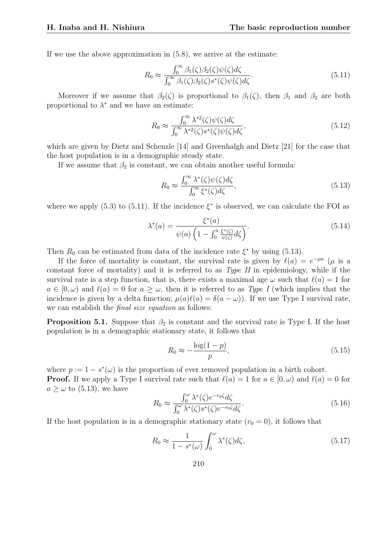If we use the above approximation in  $(5.8)$ , we arrive at the estimate:

$$
R_0 \approx \frac{\int_0^\infty \beta_1(\zeta)\beta_2(\zeta)\psi(\zeta)d\zeta}{\int_0^\infty \beta_1(\zeta)\beta_2(\zeta)s^*(\zeta)\psi(\zeta)d\zeta}.\tag{5.11}
$$

Moreover if we assume that  $\beta_2(\zeta)$  is proportional to  $\beta_1(\zeta)$ , then  $\beta_1$  and  $\beta_2$  are both proportional to  $\lambda^*$  and we have an estimate:

$$
R_0 \approx \frac{\int_0^\infty \lambda^{*2}(\zeta)\psi(\zeta)d\zeta}{\int_0^\infty \lambda^{*2}(\zeta)s^*(\zeta)\psi(\zeta)d\zeta},\tag{5.12}
$$

which are given by Dietz and Schenzle [14] and Greenhalgh and Dietz [21] for the case that the host population is in a demographic steady state.

If we assume that  $\beta_2$  is constant, we can obtain another useful formula:

$$
R_0 \approx \frac{\int_0^\infty \lambda^*(\zeta)\psi(\zeta)d\zeta}{\int_0^\infty \xi^*(\zeta)d\zeta},\tag{5.13}
$$

where we apply (5.3) to (5.11). If the incidence  $\xi^*$  is observed, we can calculate the FOI as

$$
\lambda^*(a) = \frac{\xi^*(a)}{\psi(a)\left(1 - \int_0^a \frac{\xi^*(\zeta)}{\psi(\zeta)} d\zeta\right)}.\tag{5.14}
$$

Then  $R_0$  can be estimated from data of the incidence rate  $\xi^*$  by using (5.13).

If the force of mortality is constant, the survival rate is given by  $\ell(a) = e^{-\mu a}$  ( $\mu$  is a constant force of mortality) and it is referred to as  $Type\ H$  in epidemiology, while if the survival rate is a step function, that is, there exists a maximal age  $\omega$  such that  $\ell(a) = 1$  for  $a \in [0, \omega)$  and  $\ell(a) = 0$  for  $a \geq \omega$ , then it is referred to as Type I (which implies that the incidence is given by a delta function;  $\mu(a)\ell(a) = \delta(a - \omega)$ ). If we use Type I survival rate, we can establish the *final size equation* as follows:

**Proposition 5.1.** Suppose that  $\beta_2$  is constant and the survival rate is Type I. If the host population is in a demographic stationary state, it follows that

$$
R_0 \approx -\frac{\log(1-p)}{p},\tag{5.15}
$$

where  $p := 1 - s^*(\omega)$  is the proportion of ever removed population in a birth cohort. **Proof.** If we apply a Type I survival rate such that  $\ell(a) = 1$  for  $a \in [0, \omega)$  and  $\ell(a) = 0$  for  $a \geq \omega$  to (5.13), we have  $\int_0^{\omega}$ 

$$
R_0 \approx \frac{\int_0^{\omega} \lambda^*(\zeta) e^{-r_0 \zeta} d\zeta}{\int_0^{\omega} \lambda^*(\zeta) s^*(\zeta) e^{-r_0 \zeta} d\zeta}.
$$
\n(5.16)

If the host population is in a demographic stationary state  $(r_0 = 0)$ , it follows that

$$
R_0 \approx \frac{1}{1 - s^*(\omega)} \int_0^\omega \lambda^*(\zeta) d\zeta,
$$
\n(5.17)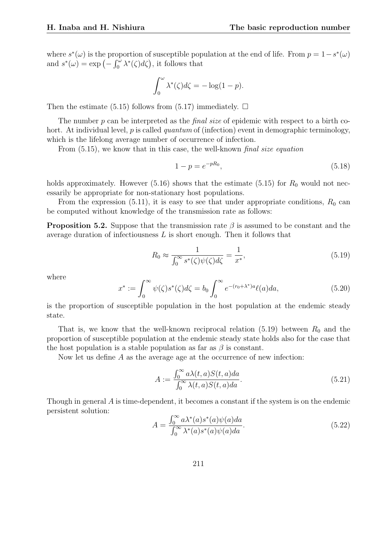where  $s^*(\omega)$  is the proportion of susceptible population at the end of life. From  $p = 1 - s^*(\omega)$ where  $s^{\alpha}(\omega)$  is the proportion of susceptible pop<br>and  $s^{\ast}(\omega) = \exp(-\int_0^{\omega} \lambda^{\ast}(\zeta) d\zeta)$ , it follows that

$$
\int_0^\omega \lambda^*(\zeta)d\zeta = -\log(1-p).
$$

Then the estimate (5.15) follows from (5.17) immediately.  $\Box$ 

The number p can be interpreted as the *final size* of epidemic with respect to a birth cohort. At individual level,  $p$  is called quantum of (infection) event in demographic terminology, which is the lifelong average number of occurrence of infection.

From  $(5.15)$ , we know that in this case, the well-known *final size equation* 

$$
1 - p = e^{-pR_0},\tag{5.18}
$$

holds approximately. However (5.16) shows that the estimate (5.15) for  $R_0$  would not necessarily be appropriate for non-stationary host populations.

From the expression (5.11), it is easy to see that under appropriate conditions,  $R_0$  can be computed without knowledge of the transmission rate as follows:

**Proposition 5.2.** Suppose that the transmission rate  $\beta$  is assumed to be constant and the average duration of infectiousness L is short enough. Then it follows that

$$
R_0 \approx \frac{1}{\int_0^\infty s^*(\zeta)\psi(\zeta)d\zeta} = \frac{1}{x^*},\tag{5.19}
$$

where

$$
x^* := \int_0^\infty \psi(\zeta)s^*(\zeta)d\zeta = b_0 \int_0^\infty e^{-(r_0 + \lambda^*)a}\ell(a)da,\tag{5.20}
$$

is the proportion of susceptible population in the host population at the endemic steady state.

That is, we know that the well-known reciprocal relation  $(5.19)$  between  $R_0$  and the proportion of susceptible population at the endemic steady state holds also for the case that the host population is a stable population as far as  $\beta$  is constant.

Now let us define  $A$  as the average age at the occurrence of new infection:

$$
A := \frac{\int_0^\infty a\lambda(t, a)S(t, a)da}{\int_0^\infty \lambda(t, a)S(t, a)da}.
$$
\n(5.21)

Though in general A is time-dependent, it becomes a constant if the system is on the endemic persistent solution:  $r^{\infty}$ 

$$
A = \frac{\int_0^\infty a\lambda^*(a)s^*(a)\psi(a)da}{\int_0^\infty \lambda^*(a)s^*(a)\psi(a)da}.
$$
\n(5.22)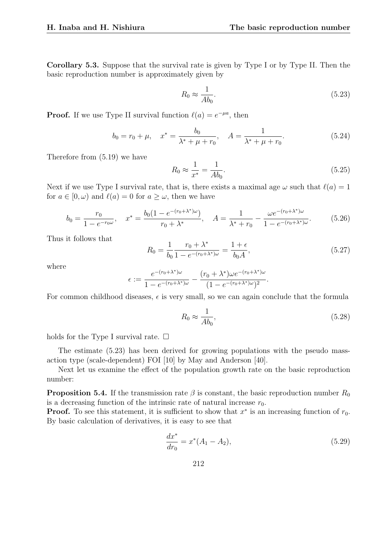Corollary 5.3. Suppose that the survival rate is given by Type I or by Type II. Then the basic reproduction number is approximately given by

$$
R_0 \approx \frac{1}{A b_0}.\tag{5.23}
$$

**Proof.** If we use Type II survival function  $\ell(a) = e^{-\mu a}$ , then

$$
b_0 = r_0 + \mu, \quad x^* = \frac{b_0}{\lambda^* + \mu + r_0}, \quad A = \frac{1}{\lambda^* + \mu + r_0}.
$$
 (5.24)

Therefore from (5.19) we have

$$
R_0 \approx \frac{1}{x^*} = \frac{1}{Ab_0}.
$$
\n(5.25)

Next if we use Type I survival rate, that is, there exists a maximal age  $\omega$  such that  $\ell(a) = 1$ for  $a \in [0, \omega)$  and  $\ell(a) = 0$  for  $a \geq \omega$ , then we have

$$
b_0 = \frac{r_0}{1 - e^{-r_0 \omega}}, \quad x^* = \frac{b_0 (1 - e^{-(r_0 + \lambda^*)\omega})}{r_0 + \lambda^*}, \quad A = \frac{1}{\lambda^* + r_0} - \frac{\omega e^{-(r_0 + \lambda^*)\omega}}{1 - e^{-(r_0 + \lambda^*)\omega}}.
$$
(5.26)

Thus it follows that

$$
R_0 = \frac{1}{b_0} \frac{r_0 + \lambda^*}{1 - e^{-(r_0 + \lambda^*)\omega}} = \frac{1 + \epsilon}{b_0 A},
$$
\n(5.27)

where

$$
\epsilon:=\frac{e^{-(r_0+\lambda^*)\omega}}{1-e^{-(r_0+\lambda^*)\omega}}-\frac{(r_0+\lambda^*)\omega e^{-(r_0+\lambda^*)\omega}}{(1-e^{-(r_0+\lambda^*)\omega})^2}.
$$

For common childhood diseases,  $\epsilon$  is very small, so we can again conclude that the formula

$$
R_0 \approx \frac{1}{A b_0},\tag{5.28}
$$

holds for the Type I survival rate.  $\Box$ 

The estimate (5.23) has been derived for growing populations with the pseudo massaction type (scale-dependent) FOI [10] by May and Anderson [40].

Next let us examine the effect of the population growth rate on the basic reproduction number:

**Proposition 5.4.** If the transmission rate  $\beta$  is constant, the basic reproduction number  $R_0$ is a decreasing function of the intrinsic rate of natural increase  $r_0$ .

**Proof.** To see this statement, it is sufficient to show that  $x^*$  is an increasing function of  $r_0$ . By basic calculation of derivatives, it is easy to see that

$$
\frac{dx^*}{dr_0} = x^*(A_1 - A_2),\tag{5.29}
$$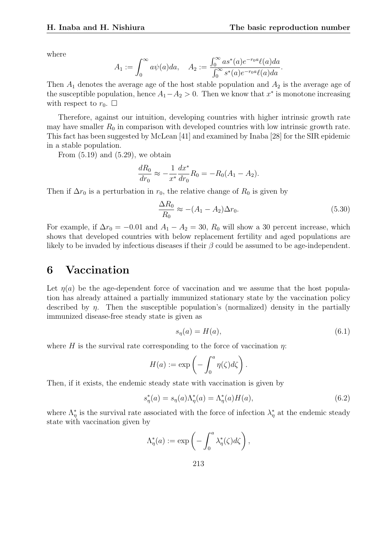where

$$
A_1 := \int_0^\infty a\psi(a)da, \quad A_2 := \frac{\int_0^\infty a s^*(a)e^{-r_0 a}\ell(a)da}{\int_0^\infty s^*(a)e^{-r_0 a}\ell(a)da}.
$$

Then  $A_1$  denotes the average age of the host stable population and  $A_2$  is the average age of the susceptible population, hence  $A_1 - A_2 > 0$ . Then we know that  $x^*$  is monotone increasing with respect to  $r_0$ .  $\Box$ 

Therefore, against our intuition, developing countries with higher intrinsic growth rate may have smaller  $R_0$  in comparison with developed countries with low intrinsic growth rate. This fact has been suggested by McLean [41] and examined by Inaba [28] for the SIR epidemic in a stable population.

From  $(5.19)$  and  $(5.29)$ , we obtain

$$
\frac{dR_0}{dr_0} \approx -\frac{1}{x^*} \frac{dx^*}{dr_0} R_0 = -R_0(A_1 - A_2).
$$

Then if  $\Delta r_0$  is a perturbation in  $r_0$ , the relative change of  $R_0$  is given by

$$
\frac{\Delta R_0}{R_0} \approx -(A_1 - A_2)\Delta r_0. \tag{5.30}
$$

For example, if  $\Delta r_0 = -0.01$  and  $A_1 - A_2 = 30$ ,  $R_0$  will show a 30 percent increase, which shows that developed countries with below replacement fertility and aged populations are likely to be invaded by infectious diseases if their  $\beta$  could be assumed to be age-independent.

## 6 Vaccination

Let  $\eta(a)$  be the age-dependent force of vaccination and we assume that the host population has already attained a partially immunized stationary state by the vaccination policy described by  $\eta$ . Then the susceptible population's (normalized) density in the partially immunized disease-free steady state is given as

$$
s_{\eta}(a) = H(a),\tag{6.1}
$$

where H is the survival rate corresponding to the force of vaccination  $\eta$ :

$$
H(a) := \exp\left(-\int_0^a \eta(\zeta) d\zeta\right).
$$

Then, if it exists, the endemic steady state with vaccination is given by

$$
s_{\eta}^*(a) = s_{\eta}(a)\Lambda_{\eta}^*(a) = \Lambda_{\eta}^*(a)H(a), \qquad (6.2)
$$

where  $\Lambda_{\eta}^*$  is the survival rate associated with the force of infection  $\lambda_{\eta}^*$  at the endemic steady state with vaccination given by

$$
\Lambda_{\eta}^*(a) := \exp\left(-\int_0^a \lambda_{\eta}^*(\zeta)d\zeta\right),\,
$$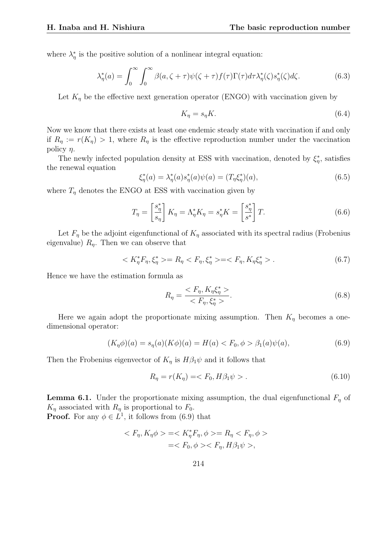where  $\lambda_n^*$  is the positive solution of a nonlinear integral equation:

$$
\lambda_{\eta}^*(a) = \int_0^\infty \int_0^\infty \beta(a,\zeta + \tau)\psi(\zeta + \tau)f(\tau)\Gamma(\tau)d\tau \lambda_{\eta}^*(\zeta)s_{\eta}^*(\zeta)d\zeta.
$$
 (6.3)

Let  $K_n$  be the effective next generation operator (ENGO) with vaccination given by

$$
K_{\eta} = s_{\eta} K. \tag{6.4}
$$

Now we know that there exists at least one endemic steady state with vaccination if and only if  $R_n := r(K_n) > 1$ , where  $R_n$  is the effective reproduction number under the vaccination policy  $\eta$ .

The newly infected population density at ESS with vaccination, denoted by  $\xi_{\eta}^*$ , satisfies the renewal equation

$$
\xi_{\eta}^*(a) = \lambda_{\eta}^*(a)s_{\eta}^*(a)\psi(a) = (T_{\eta}\xi_{\eta}^*)(a),\tag{6.5}
$$

where  $T_{\eta}$  denotes the ENGO at ESS with vaccination given by

$$
T_{\eta} = \begin{bmatrix} s_{\eta}^* \\ s_{\eta} \end{bmatrix} K_{\eta} = \Lambda_{\eta}^* K_{\eta} = s_{\eta}^* K = \begin{bmatrix} s_{\eta}^* \\ s^* \end{bmatrix} T. \tag{6.6}
$$

Let  $F_{\eta}$  be the adjoint eigenfunctional of  $K_{\eta}$  associated with its spectral radius (Frobenius eigenvalue)  $R_n$ . Then we can observe that

$$
\langle K_{\eta}^* F_{\eta}, \xi_{\eta}^* \rangle = R_{\eta} \langle F_{\eta}, \xi_{\eta}^* \rangle = \langle F_{\eta}, K_{\eta} \xi_{\eta}^* \rangle. \tag{6.7}
$$

Hence we have the estimation formula as

$$
R_{\eta} = \frac{\langle F_{\eta}, K_{\eta} \xi_{\eta}^* \rangle}{\langle F_{\eta}, \xi_{\eta}^* \rangle}.
$$
\n
$$
(6.8)
$$

Here we again adopt the proportionate mixing assumption. Then  $K_n$  becomes a onedimensional operator:

$$
(K_{\eta}\phi)(a) = s_{\eta}(a)(K\phi)(a) = H(a) < F_0, \phi > \beta_1(a)\psi(a), \tag{6.9}
$$

Then the Frobenius eigenvector of  $K_n$  is  $H\beta_1\psi$  and it follows that

$$
R_{\eta} = r(K_{\eta}) = \langle F_0, H\beta_1 \psi \rangle. \tag{6.10}
$$

**Lemma 6.1.** Under the proportionate mixing assumption, the dual eigenfunctional  $F<sub>\eta</sub>$  of  $K_{\eta}$  associated with  $R_{\eta}$  is proportional to  $F_0$ .

**Proof.** For any  $\phi \in L^1$ , it follows from (6.9) that

$$
\langle F_{\eta}, K_{\eta}\phi \rangle = \langle K_{\eta}^* F_{\eta}, \phi \rangle = R_{\eta} \langle F_{\eta}, \phi \rangle
$$
  
=
$$
\langle F_0, \phi \rangle \langle F_{\eta}, H\beta_1\psi \rangle,
$$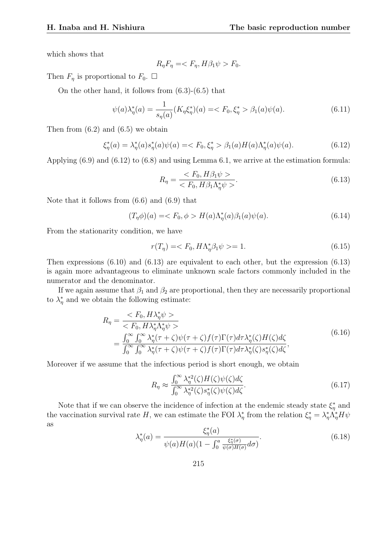which shows that

$$
R_{\eta}F_{\eta} = \langle F_{\eta}, H\beta_1\psi \rangle F_0.
$$

Then  $F_{\eta}$  is proportional to  $F_0$ .  $\Box$ 

On the other hand, it follows from (6.3)-(6.5) that

$$
\psi(a)\lambda_{\eta}^*(a) = \frac{1}{s_{\eta}(a)}(K_{\eta}\xi_{\eta}^*)(a) = \langle F_0, \xi_{\eta}^* > \beta_1(a)\psi(a). \tag{6.11}
$$

Then from  $(6.2)$  and  $(6.5)$  we obtain

$$
\xi_{\eta}^*(a) = \lambda_{\eta}^*(a)s_{\eta}^*(a)\psi(a) = \langle F_0, \xi_{\eta}^* \rangle \beta_1(a)H(a)\Lambda_{\eta}^*(a)\psi(a). \tag{6.12}
$$

Applying (6.9) and (6.12) to (6.8) and using Lemma 6.1, we arrive at the estimation formula:

$$
R_{\eta} = \frac{\langle F_0, H\beta_1\psi \rangle}{\langle F_0, H\beta_1\Lambda_{\eta}^*\psi \rangle}. \tag{6.13}
$$

Note that it follows from (6.6) and (6.9) that

$$
(T_{\eta}\phi)(a) = \langle F_0, \phi \rangle H(a)\Lambda_{\eta}^*(a)\beta_1(a)\psi(a). \tag{6.14}
$$

From the stationarity condition, we have

$$
r(T_{\eta}) = \langle F_0, H\Lambda_{\eta}^* \beta_1 \psi \rangle = 1. \tag{6.15}
$$

Then expressions (6.10) and (6.13) are equivalent to each other, but the expression (6.13) is again more advantageous to eliminate unknown scale factors commonly included in the numerator and the denominator.

If we again assume that  $\beta_1$  and  $\beta_2$  are proportional, then they are necessarily proportional to  $\lambda_n^*$  and we obtain the following estimate:

$$
R_{\eta} = \frac{\langle F_0, H \lambda_{\eta}^* \psi \rangle}{\langle F_0, H \lambda_{\eta}^* \Lambda_{\eta}^* \psi \rangle} = \frac{\int_0^{\infty} \int_0^{\infty} \lambda_{\eta}^* (\tau + \zeta) \psi(\tau + \zeta) f(\tau) \Gamma(\tau) d\tau \lambda_{\eta}^* (\zeta) H(\zeta) d\zeta}{\int_0^{\infty} \int_0^{\infty} \lambda_{\eta}^* (\tau + \zeta) \psi(\tau + \zeta) f(\tau) \Gamma(\tau) d\tau \lambda_{\eta}^* (\zeta) s_{\eta}^* (\zeta) d\zeta},
$$
(6.16)

Moreover if we assume that the infectious period is short enough, we obtain

$$
R_{\eta} \approx \frac{\int_0^{\infty} \lambda_{\eta}^{*2}(\zeta) H(\zeta) \psi(\zeta) d\zeta}{\int_0^{\infty} \lambda_{\eta}^{*2}(\zeta) s_{\eta}^*(\zeta) \psi(\zeta) d\zeta}.
$$
\n(6.17)

Note that if we can observe the incidence of infection at the endemic steady state  $\xi_n^*$  and the vaccination survival rate H, we can estimate the FOI  $\lambda_n^*$  from the relation  $\xi_n^* = \lambda_n^* \Lambda_n^* H \psi$ as

$$
\lambda_{\eta}^*(a) = \frac{\xi_{\eta}^*(a)}{\psi(a)H(a)(1 - \int_0^a \frac{\xi_{\eta}^*(\sigma)}{\psi(\sigma)H(\sigma)} d\sigma)}.
$$
\n(6.18)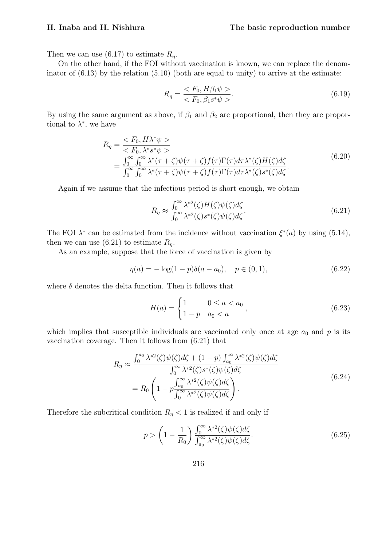Then we can use  $(6.17)$  to estimate  $R_n$ .

On the other hand, if the FOI without vaccination is known, we can replace the denominator of  $(6.13)$  by the relation  $(5.10)$  (both are equal to unity) to arrive at the estimate:

$$
R_{\eta} = \frac{< F_0, H\beta_1 \psi>}{< F_0, \beta_1 s^* \psi>}.\tag{6.19}
$$

By using the same argument as above, if  $\beta_1$  and  $\beta_2$  are proportional, then they are proportional to  $\lambda^*$ , we have

$$
R_{\eta} = \frac{\langle F_0, H \lambda^* \psi \rangle}{\langle F_0, \lambda^* s^* \psi \rangle} = \frac{\int_0^{\infty} \int_0^{\infty} \lambda^* (\tau + \zeta) \psi(\tau + \zeta) f(\tau) \Gamma(\tau) d\tau \lambda^* (\zeta) H(\zeta) d\zeta}{\int_0^{\infty} \int_0^{\infty} \lambda^* (\tau + \zeta) \psi(\tau + \zeta) f(\tau) \Gamma(\tau) d\tau \lambda^* (\zeta) s^* (\zeta) d\zeta}.
$$
(6.20)

Again if we assume that the infectious period is short enough, we obtain

$$
R_{\eta} \approx \frac{\int_0^{\infty} \lambda^{*2}(\zeta) H(\zeta) \psi(\zeta) d\zeta}{\int_0^{\infty} \lambda^{*2}(\zeta) s^*(\zeta) \psi(\zeta) d\zeta}.
$$
 (6.21)

The FOI  $\lambda^*$  can be estimated from the incidence without vaccination  $\xi^*(a)$  by using (5.14), then we can use  $(6.21)$  to estimate  $R_n$ .

As an example, suppose that the force of vaccination is given by

$$
\eta(a) = -\log(1 - p)\delta(a - a_0), \quad p \in (0, 1), \tag{6.22}
$$

where  $\delta$  denotes the delta function. Then it follows that

$$
H(a) = \begin{cases} 1 & 0 \le a < a_0 \\ 1 - p & a_0 < a \end{cases},
$$
 (6.23)

which implies that susceptible individuals are vaccinated only once at age  $a_0$  and p is its vaccination coverage. Then it follows from (6.21) that

$$
R_{\eta} \approx \frac{\int_0^{a_0} \lambda^{*2}(\zeta)\psi(\zeta)d\zeta + (1-p)\int_{a_0}^{\infty} \lambda^{*2}(\zeta)\psi(\zeta)d\zeta}{\int_0^{\infty} \lambda^{*2}(\zeta)s^*(\zeta)\psi(\zeta)d\zeta}
$$
  
= 
$$
R_0 \left(1 - p\frac{\int_{a_0}^{\infty} \lambda^{*2}(\zeta)\psi(\zeta)d\zeta}{\int_0^{\infty} \lambda^{*2}(\zeta)\psi(\zeta)d\zeta}\right).
$$
 (6.24)

Therefore the subcritical condition  $R_{\eta}$  < 1 is realized if and only if

$$
p > \left(1 - \frac{1}{R_0}\right) \frac{\int_0^\infty \lambda^{*2}(\zeta)\psi(\zeta)d\zeta}{\int_{a_0}^\infty \lambda^{*2}(\zeta)\psi(\zeta)d\zeta}.\tag{6.25}
$$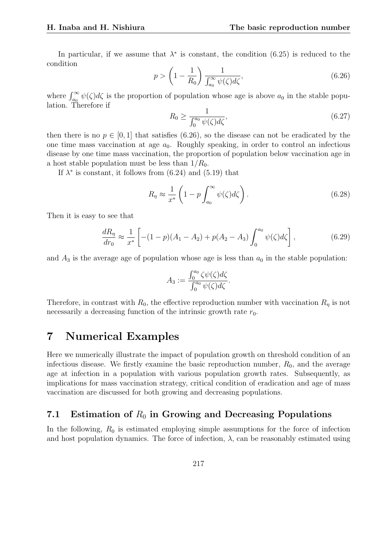In particular, if we assume that  $\lambda^*$  is constant, the condition (6.25) is reduced to the condition  $\mathbf{r}$ 

$$
p > \left(1 - \frac{1}{R_0}\right) \frac{1}{\int_{a_0}^{\infty} \psi(\zeta) d\zeta},\tag{6.26}
$$

where  $\int_{a_0}^{\infty} \psi(\zeta) d\zeta$  is the proportion of population whose age is above  $a_0$  in the stable population. Therefore if

$$
R_0 \ge \frac{1}{\int_0^{a_0} \psi(\zeta) d\zeta},\tag{6.27}
$$

then there is no  $p \in [0, 1]$  that satisfies (6.26), so the disease can not be eradicated by the one time mass vaccination at age  $a_0$ . Roughly speaking, in order to control an infectious disease by one time mass vaccination, the proportion of population below vaccination age in a host stable population must be less than  $1/R_0$ .

If  $\lambda^*$  is constant, it follows from (6.24) and (5.19) that

$$
R_{\eta} \approx \frac{1}{x^*} \left( 1 - p \int_{a_0}^{\infty} \psi(\zeta) d\zeta \right). \tag{6.28}
$$

Then it is easy to see that

$$
\frac{dR_{\eta}}{dr_0} \approx \frac{1}{x^*} \left[ -(1-p)(A_1 - A_2) + p(A_2 - A_3) \int_0^{a_0} \psi(\zeta) d\zeta \right],
$$
\n(6.29)

and  $A_3$  is the average age of population whose age is less than  $a_0$  in the stable population:

$$
A_3 := \frac{\int_0^{a_0} \zeta \psi(\zeta) d\zeta}{\int_0^{a_0} \psi(\zeta) d\zeta}.
$$

Therefore, in contrast with  $R_0$ , the effective reproduction number with vaccination  $R_n$  is not necessarily a decreasing function of the intrinsic growth rate  $r_0$ .

## 7 Numerical Examples

Here we numerically illustrate the impact of population growth on threshold condition of an infectious disease. We firstly examine the basic reproduction number,  $R_0$ , and the average age at infection in a population with various population growth rates. Subsequently, as implications for mass vaccination strategy, critical condition of eradication and age of mass vaccination are discussed for both growing and decreasing populations.

## 7.1 Estimation of  $R_0$  in Growing and Decreasing Populations

In the following,  $R_0$  is estimated employing simple assumptions for the force of infection and host population dynamics. The force of infection,  $\lambda$ , can be reasonably estimated using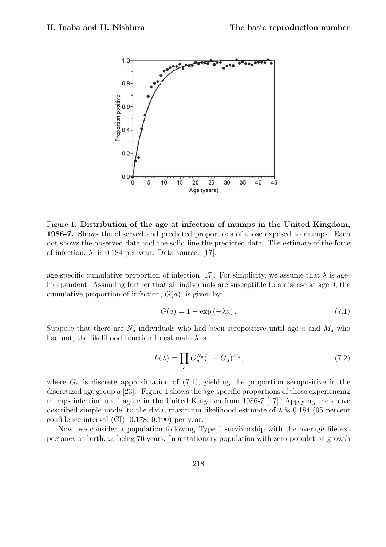

Figure 1: Distribution of the age at infection of mumps in the United Kingdom, 1986-7. Shows the observed and predicted proportions of those exposed to mumps. Each dot shows the observed data and the solid line the predicted data. The estimate of the force of infection,  $\lambda$ , is 0.184 per year. Data source: [17].

age-specific cumulative proportion of infection [17]. For simplicity, we assume that  $\lambda$  is ageindependent. Assuming further that all individuals are susceptible to a disease at age 0, the cumulative proportion of infection,  $G(a)$ , is given by

$$
G(a) = 1 - \exp(-\lambda a). \tag{7.1}
$$

Suppose that there are  $N_a$  individuals who had been seropositive until age a and  $M_a$  who had not, the likelihood function to estimate  $\lambda$  is

$$
L(\lambda) = \prod_{a} G_{a}^{N_a} (1 - G_a)^{M_a}, \qquad (7.2)
$$

where  $G_a$  is discrete approximation of (7.1), yielding the proportion seropositive in the discretized age group  $a$  [23]. Figure 1 shows the age-specific proportions of those experiencing mumps infection until age a in the United Kingdom from 1986-7 [17]. Applying the above described simple model to the data, maximum likelihood estimate of  $\lambda$  is 0.184 (95 percent confidence interval (CI): 0.178, 0.190) per year.

Now, we consider a population following Type I survivorship with the average life expectancy at birth,  $\omega$ , being 70 years. In a stationary population with zero-population growth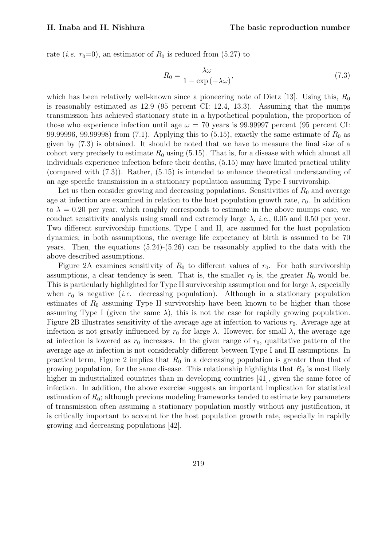rate (*i.e.*  $r_0=0$ ), an estimator of  $R_0$  is reduced from (5.27) to

$$
R_0 = \frac{\lambda \omega}{1 - \exp\left(-\lambda \omega\right)},\tag{7.3}
$$

which has been relatively well-known since a pioneering note of Dietz [13]. Using this,  $R_0$ is reasonably estimated as 12.9 (95 percent CI: 12.4, 13.3). Assuming that the mumps transmission has achieved stationary state in a hypothetical population, the proportion of those who experience infection until age  $\omega = 70$  years is 99.99997 percent (95 percent CI: 99.99996, 99.99998) from (7.1). Applying this to  $(5.15)$ , exactly the same estimate of  $R_0$  as given by (7.3) is obtained. It should be noted that we have to measure the final size of a cohort very precisely to estimate  $R_0$  using (5.15). That is, for a disease with which almost all individuals experience infection before their deaths, (5.15) may have limited practical utility (compared with (7.3)). Rather, (5.15) is intended to enhance theoretical understanding of an age-specific transmission in a stationary population assuming Type I survivorship.

Let us then consider growing and decreasing populations. Sensitivities of  $R_0$  and average age at infection are examined in relation to the host population growth rate,  $r_0$ . In addition to  $\lambda = 0.20$  per year, which roughly corresponds to estimate in the above mumps case, we conduct sensitivity analysis using small and extremely large  $\lambda$ , *i.e.*, 0.05 and 0.50 per year. Two different survivorship functions, Type I and II, are assumed for the host population dynamics; in both assumptions, the average life expectancy at birth is assumed to be 70 years. Then, the equations  $(5.24)-(5.26)$  can be reasonably applied to the data with the above described assumptions.

Figure 2A examines sensitivity of  $R_0$  to different values of  $r_0$ . For both survivorship assumptions, a clear tendency is seen. That is, the smaller  $r_0$  is, the greater  $R_0$  would be. This is particularly highlighted for Type II survivorship assumption and for large  $\lambda$ , especially when  $r_0$  is negative (*i.e.* decreasing population). Although in a stationary population estimates of  $R_0$  assuming Type II survivorship have been known to be higher than those assuming Type I (given the same  $\lambda$ ), this is not the case for rapidly growing population. Figure 2B illustrates sensitivity of the average age at infection to various  $r_0$ . Average age at infection is not greatly influenced by  $r_0$  for large  $\lambda$ . However, for small  $\lambda$ , the average age at infection is lowered as  $r_0$  increases. In the given range of  $r_0$ , qualitative pattern of the average age at infection is not considerably different between Type I and II assumptions. In practical term, Figure 2 implies that  $R_0$  in a decreasing population is greater than that of growing population, for the same disease. This relationship highlights that  $R_0$  is most likely higher in industrialized countries than in developing countries [41], given the same force of infection. In addition, the above exercise suggests an important implication for statistical estimation of  $R_0$ ; although previous modeling frameworks tended to estimate key parameters of transmission often assuming a stationary population mostly without any justification, it is critically important to account for the host population growth rate, especially in rapidly growing and decreasing populations [42].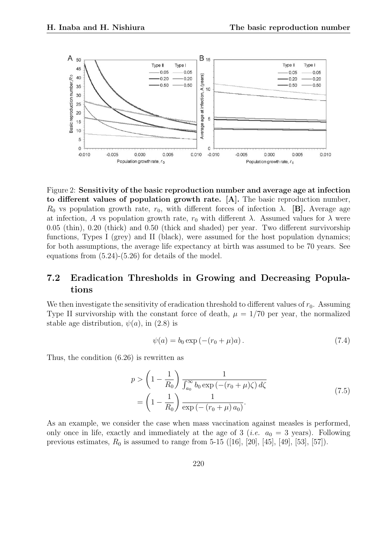

Figure 2: Sensitivity of the basic reproduction number and average age at infection to different values of population growth rate. [A]. The basic reproduction number,  $R_0$  vs population growth rate,  $r_0$ , with different forces of infection  $\lambda$ . [B]. Average age at infection, A vs population growth rate,  $r_0$  with different  $\lambda$ . Assumed values for  $\lambda$  were 0.05 (thin), 0.20 (thick) and 0.50 (thick and shaded) per year. Two different survivorship functions, Types I (grey) and II (black), were assumed for the host population dynamics; for both assumptions, the average life expectancy at birth was assumed to be 70 years. See equations from (5.24)-(5.26) for details of the model.

#### 7.2 Eradication Thresholds in Growing and Decreasing Populations

We then investigate the sensitivity of eradication threshold to different values of  $r_0$ . Assuming Type II survivorship with the constant force of death,  $\mu = 1/70$  per year, the normalized stable age distribution,  $\psi(a)$ , in (2.8) is

$$
\psi(a) = b_0 \exp(-(r_0 + \mu)a). \tag{7.4}
$$

Thus, the condition (6.26) is rewritten as

$$
p > \left(1 - \frac{1}{R_0}\right) \frac{1}{\int_{a_0}^{\infty} b_0 \exp(-(r_0 + \mu)\zeta) d\zeta}
$$
  
=  $\left(1 - \frac{1}{R_0}\right) \frac{1}{\exp(-(r_0 + \mu) a_0)}.$  (7.5)

As an example, we consider the case when mass vaccination against measles is performed, only once in life, exactly and immediately at the age of 3 (*i.e.*  $a_0 = 3$  years). Following previous estimates,  $R_0$  is assumed to range from 5-15 ([16], [20], [45], [49], [53], [57]).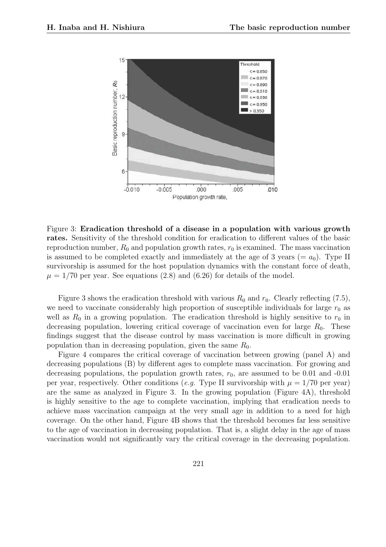

Figure 3: Eradication threshold of a disease in a population with various growth rates. Sensitivity of the threshold condition for eradication to different values of the basic reproduction number,  $R_0$  and population growth rates,  $r_0$  is examined. The mass vaccination is assumed to be completed exactly and immediately at the age of 3 years (=  $a_0$ ). Type II survivorship is assumed for the host population dynamics with the constant force of death,  $\mu = 1/70$  per year. See equations (2.8) and (6.26) for details of the model.

Figure 3 shows the eradication threshold with various  $R_0$  and  $r_0$ . Clearly reflecting (7.5), we need to vaccinate considerably high proportion of susceptible individuals for large  $r_0$  as well as  $R_0$  in a growing population. The eradication threshold is highly sensitive to  $r_0$  in decreasing population, lowering critical coverage of vaccination even for large  $R_0$ . These findings suggest that the disease control by mass vaccination is more difficult in growing population than in decreasing population, given the same  $R_0$ .

Figure 4 compares the critical coverage of vaccination between growing (panel A) and decreasing populations (B) by different ages to complete mass vaccination. For growing and decreasing populations, the population growth rates,  $r_0$ , are assumed to be 0.01 and -0.01 per year, respectively. Other conditions (e.g. Type II survivorship with  $\mu = 1/70$  per year) are the same as analyzed in Figure 3. In the growing population (Figure 4A), threshold is highly sensitive to the age to complete vaccination, implying that eradication needs to achieve mass vaccination campaign at the very small age in addition to a need for high coverage. On the other hand, Figure 4B shows that the threshold becomes far less sensitive to the age of vaccination in decreasing population. That is, a slight delay in the age of mass vaccination would not significantly vary the critical coverage in the decreasing population.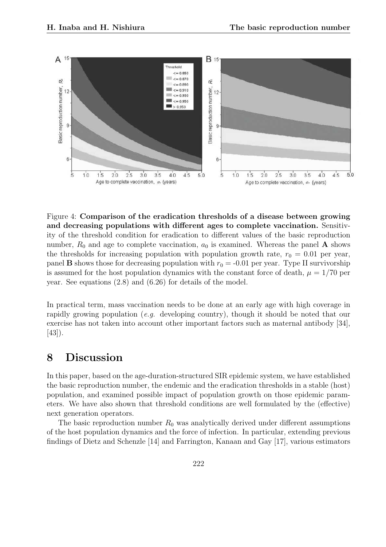

Figure 4: Comparison of the eradication thresholds of a disease between growing and decreasing populations with different ages to complete vaccination. Sensitivity of the threshold condition for eradication to different values of the basic reproduction number,  $R_0$  and age to complete vaccination,  $a_0$  is examined. Whereas the panel **A** shows the thresholds for increasing population with population growth rate,  $r_0 = 0.01$  per year, panel **B** shows those for decreasing population with  $r_0 = -0.01$  per year. Type II survivorship is assumed for the host population dynamics with the constant force of death,  $\mu = 1/70$  per year. See equations (2.8) and (6.26) for details of the model.

In practical term, mass vaccination needs to be done at an early age with high coverage in rapidly growing population (e.g. developing country), though it should be noted that our exercise has not taken into account other important factors such as maternal antibody [34], [43]).

#### 8 Discussion

In this paper, based on the age-duration-structured SIR epidemic system, we have established the basic reproduction number, the endemic and the eradication thresholds in a stable (host) population, and examined possible impact of population growth on those epidemic parameters. We have also shown that threshold conditions are well formulated by the (effective) next generation operators.

The basic reproduction number  $R_0$  was analytically derived under different assumptions of the host population dynamics and the force of infection. In particular, extending previous findings of Dietz and Schenzle [14] and Farrington, Kanaan and Gay [17], various estimators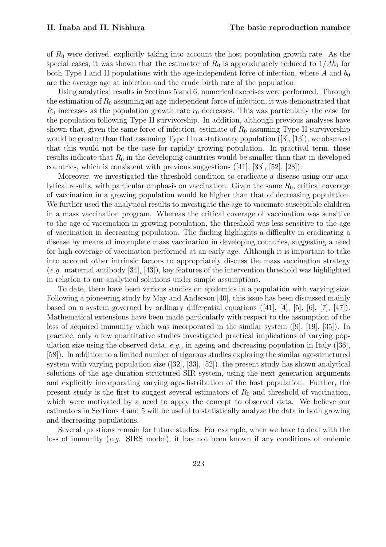of  $R_0$  were derived, explicitly taking into account the host population growth rate. As the special cases, it was shown that the estimator of  $R_0$  is approximately reduced to  $1/Ab_0$  for both Type I and II populations with the age-independent force of infection, where A and  $b_0$ are the average age at infection and the crude birth rate of the population.

Using analytical results in Sections 5 and 6, numerical exercises were performed. Through the estimation of  $R_0$  assuming an age-independent force of infection, it was demonstrated that  $R_0$  increases as the population growth rate  $r_0$  decreases. This was particularly the case for the population following Type II survivorship. In addition, although previous analyses have shown that, given the same force of infection, estimate of  $R_0$  assuming Type II survivorship would be greater than that assuming Type I in a stationary population ([3], [13]), we observed that this would not be the case for rapidly growing population. In practical term, these results indicate that  $R_0$  in the developing countries would be smaller than that in developed countries, which is consistent with previous suggestions ([41], [33], [52], [28]).

Moreover, we investigated the threshold condition to eradicate a disease using our analytical results, with particular emphasis on vaccination. Given the same  $R_0$ , critical coverage of vaccination in a growing population would be higher than that of decreasing population. We further used the analytical results to investigate the age to vaccinate susceptible children in a mass vaccination program. Whereas the critical coverage of vaccination was sensitive to the age of vaccination in growing population, the threshold was less sensitive to the age of vaccination in decreasing population. The finding highlights a difficulty in eradicating a disease by means of incomplete mass vaccination in developing countries, suggesting a need for high coverage of vaccination performed at an early age. Although it is important to take into account other intrinsic factors to appropriately discuss the mass vaccination strategy  $(e.g.$  maternal antibody [34], [43]), key features of the intervention threshold was highlighted in relation to our analytical solutions under simple assumptions.

To date, there have been various studies on epidemics in a population with varying size. Following a pioneering study by May and Anderson [40], this issue has been discussed mainly based on a system governed by ordinary differential equations  $([41], [4], [5], [6], [7], [47])$ . Mathematical extensions have been made particularly with respect to the assumption of the loss of acquired immunity which was incorporated in the similar system ([9], [19], [35]). In practice, only a few quantitative studies investigated practical implications of varying population size using the observed data, e.g., in ageing and decreasing population in Italy ([36], [58]). In addition to a limited number of rigorous studies exploring the similar age-structured system with varying population size ([32], [33], [52]), the present study has shown analytical solutions of the age-duration-structured SIR system, using the next generation arguments and explicitly incorporating varying age-distribution of the host population. Further, the present study is the first to suggest several estimators of  $R_0$  and threshold of vaccination, which were motivated by a need to apply the concept to observed data. We believe our estimators in Sections 4 and 5 will be useful to statistically analyze the data in both growing and decreasing populations.

Several questions remain for future studies. For example, when we have to deal with the loss of immunity (e.g. SIRS model), it has not been known if any conditions of endemic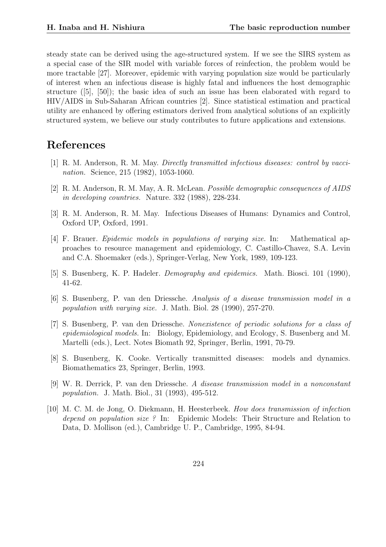steady state can be derived using the age-structured system. If we see the SIRS system as a special case of the SIR model with variable forces of reinfection, the problem would be more tractable [27]. Moreover, epidemic with varying population size would be particularly of interest when an infectious disease is highly fatal and influences the host demographic structure ([5], [50]); the basic idea of such an issue has been elaborated with regard to HIV/AIDS in Sub-Saharan African countries [2]. Since statistical estimation and practical utility are enhanced by offering estimators derived from analytical solutions of an explicitly structured system, we believe our study contributes to future applications and extensions.

# References

- [1] R. M. Anderson, R. M. May. Directly transmitted infectious diseases: control by vaccination. Science, 215 (1982), 1053-1060.
- [2] R. M. Anderson, R. M. May, A. R. McLean. Possible demographic consequences of AIDS in developing countries. Nature. 332 (1988), 228-234.
- [3] R. M. Anderson, R. M. May. Infectious Diseases of Humans: Dynamics and Control, Oxford UP, Oxford, 1991.
- [4] F. Brauer. Epidemic models in populations of varying size. In: Mathematical approaches to resource management and epidemiology, C. Castillo-Chavez, S.A. Levin and C.A. Shoemaker (eds.), Springer-Verlag, New York, 1989, 109-123.
- [5] S. Busenberg, K. P. Hadeler. Demography and epidemics. Math. Biosci. 101 (1990), 41-62.
- [6] S. Busenberg, P. van den Driessche. Analysis of a disease transmission model in a population with varying size. J. Math. Biol. 28 (1990), 257-270.
- [7] S. Busenberg, P. van den Driessche. Nonexistence of periodic solutions for a class of epidemiological models. In: Biology, Epidemiology, and Ecology, S. Busenberg and M. Martelli (eds.), Lect. Notes Biomath 92, Springer, Berlin, 1991, 70-79.
- [8] S. Busenberg, K. Cooke. Vertically transmitted diseases: models and dynamics. Biomathematics 23, Springer, Berlin, 1993.
- [9] W. R. Derrick, P. van den Driessche. A disease transmission model in a nonconstant population. J. Math. Biol., 31 (1993), 495-512.
- [10] M. C. M. de Jong, O. Diekmann, H. Heesterbeek. How does transmission of infection depend on population size ? In: Epidemic Models: Their Structure and Relation to Data, D. Mollison (ed.), Cambridge U. P., Cambridge, 1995, 84-94.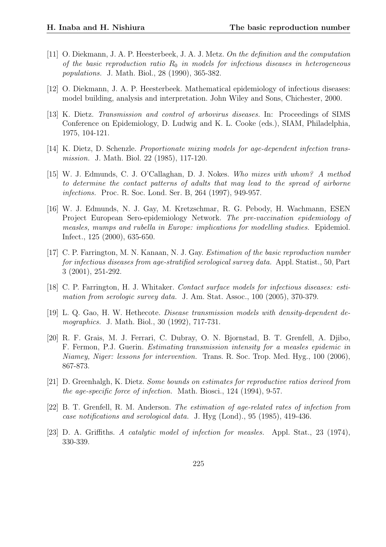- [11] O. Diekmann, J. A. P. Heesterbeek, J. A. J. Metz. On the definition and the computation of the basic reproduction ratio  $R_0$  in models for infectious diseases in heterogeneous populations. J. Math. Biol., 28 (1990), 365-382.
- [12] O. Diekmann, J. A. P. Heesterbeek. Mathematical epidemiology of infectious diseases: model building, analysis and interpretation. John Wiley and Sons, Chichester, 2000.
- [13] K. Dietz. Transmission and control of arbovirus diseases. In: Proceedings of SIMS Conference on Epidemiology, D. Ludwig and K. L. Cooke (eds.), SIAM, Philadelphia, 1975, 104-121.
- [14] K. Dietz, D. Schenzle. Proportionate mixing models for age-dependent infection transmission. J. Math. Biol. 22 (1985), 117-120.
- [15] W. J. Edmunds, C. J. O'Callaghan, D. J. Nokes. Who mixes with whom? A method to determine the contact patterns of adults that may lead to the spread of airborne infections. Proc. R. Soc. Lond. Ser. B, 264 (1997), 949-957.
- [16] W. J. Edmunds, N. J. Gay, M. Kretzschmar, R. G. Pebody, H. Wachmann, ESEN Project European Sero-epidemiology Network. The pre-vaccination epidemiology of measles, mumps and rubella in Europe: implications for modelling studies. Epidemiol. Infect., 125 (2000), 635-650.
- [17] C. P. Farrington, M. N. Kanaan, N. J. Gay. Estimation of the basic reproduction number for infectious diseases from age-stratified serological survey data. Appl. Statist., 50, Part 3 (2001), 251-292.
- [18] C. P. Farrington, H. J. Whitaker. Contact surface models for infectious diseases: estimation from serologic survey data. J. Am. Stat. Assoc., 100 (2005), 370-379.
- [19] L. Q. Gao, H. W. Hethecote. Disease transmission models with density-dependent demographics. J. Math. Biol., 30 (1992), 717-731.
- [20] R. F. Grais, M. J. Ferrari, C. Dubray, O. N. Bjornstad, B. T. Grenfell, A. Djibo, F. Fermon, P.J. Guerin. Estimating transmission intensity for a measles epidemic in Niamey, Niger: lessons for intervention. Trans. R. Soc. Trop. Med. Hyg., 100 (2006), 867-873.
- [21] D. Greenhalgh, K. Dietz. Some bounds on estimates for reproductive ratios derived from the age-specific force of infection. Math. Biosci., 124 (1994), 9-57.
- [22] B. T. Grenfell, R. M. Anderson. The estimation of age-related rates of infection from case notifications and serological data. J. Hyg (Lond)., 95 (1985), 419-436.
- [23] D. A. Griffiths. A catalytic model of infection for measles. Appl. Stat., 23 (1974), 330-339.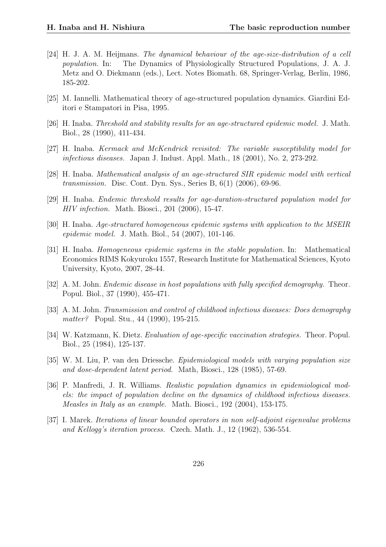- [24] H. J. A. M. Heijmans. The dynamical behaviour of the age-size-distribution of a cell population. In: The Dynamics of Physiologically Structured Populations, J. A. J. Metz and O. Diekmann (eds.), Lect. Notes Biomath. 68, Springer-Verlag, Berlin, 1986, 185-202.
- [25] M. Iannelli. Mathematical theory of age-structured population dynamics. Giardini Editori e Stampatori in Pisa, 1995.
- [26] H. Inaba. Threshold and stability results for an age-structured epidemic model. J. Math. Biol., 28 (1990), 411-434.
- [27] H. Inaba. Kermack and McKendrick revisited: The variable susceptibility model for infectious diseases. Japan J. Indust. Appl. Math., 18 (2001), No. 2, 273-292.
- [28] H. Inaba. Mathematical analysis of an age-structured SIR epidemic model with vertical transmission. Disc. Cont. Dyn. Sys., Series B, 6(1) (2006), 69-96.
- [29] H. Inaba. Endemic threshold results for age-duration-structured population model for HIV infection. Math. Biosci., 201 (2006), 15-47.
- [30] H. Inaba. Age-structured homogeneous epidemic systems with application to the MSEIR epidemic model. J. Math. Biol., 54 (2007), 101-146.
- [31] H. Inaba. Homogeneous epidemic systems in the stable population. In: Mathematical Economics RIMS Kokyuroku 1557, Research Institute for Mathematical Sciences, Kyoto University, Kyoto, 2007, 28-44.
- [32] A. M. John. Endemic disease in host populations with fully specified demography. Theor. Popul. Biol., 37 (1990), 455-471.
- [33] A. M. John. Transmission and control of childhood infectious diseases: Does demography matter? Popul. Stu., 44 (1990), 195-215.
- [34] W. Katzmann, K. Dietz. Evaluation of age-specific vaccination strategies. Theor. Popul. Biol., 25 (1984), 125-137.
- [35] W. M. Liu, P. van den Driessche. Epidemiological models with varying population size and dose-dependent latent period. Math, Biosci., 128 (1985), 57-69.
- [36] P. Manfredi, J. R. Williams. Realistic population dynamics in epidemiological models: the impact of population decline on the dynamics of childhood infectious diseases. Measles in Italy as an example. Math. Biosci., 192 (2004), 153-175.
- [37] I. Marek. Iterations of linear bounded operators in non self-adjoint eigenvalue problems and Kellogg's iteration process. Czech. Math. J., 12 (1962), 536-554.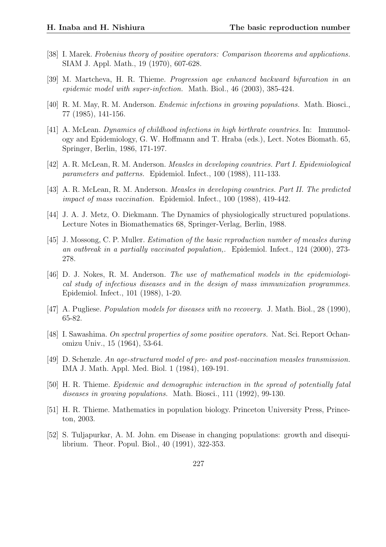- [38] I. Marek. Frobenius theory of positive operators: Comparison theorems and applications. SIAM J. Appl. Math., 19 (1970), 607-628.
- [39] M. Martcheva, H. R. Thieme. Progression age enhanced backward bifurcation in an epidemic model with super-infection. Math. Biol., 46 (2003), 385-424.
- [40] R. M. May, R. M. Anderson. Endemic infections in growing populations. Math. Biosci., 77 (1985), 141-156.
- [41] A. McLean. Dynamics of childhood infections in high birthrate countries. In: Immunology and Epidemiology, G. W. Hoffmann and T. Hraba (eds.), Lect. Notes Biomath. 65, Springer, Berlin, 1986, 171-197.
- [42] A. R. McLean, R. M. Anderson. Measles in developing countries. Part I. Epidemiological parameters and patterns. Epidemiol. Infect., 100 (1988), 111-133.
- [43] A. R. McLean, R. M. Anderson. Measles in developing countries. Part II. The predicted impact of mass vaccination. Epidemiol. Infect., 100 (1988), 419-442.
- [44] J. A. J. Metz, O. Diekmann. The Dynamics of physiologically structured populations. Lecture Notes in Biomathematics 68, Springer-Verlag, Berlin, 1988.
- [45] J. Mossong, C. P. Muller. Estimation of the basic reproduction number of measles during an outbreak in a partially vaccinated population,. Epidemiol. Infect., 124 (2000), 273- 278.
- [46] D. J. Nokes, R. M. Anderson. The use of mathematical models in the epidemiological study of infectious diseases and in the design of mass immunization programmes. Epidemiol. Infect., 101 (1988), 1-20.
- [47] A. Pugliese. *Population models for diseases with no recovery.* J. Math. Biol., 28 (1990), 65-82.
- [48] I. Sawashima. On spectral properties of some positive operators. Nat. Sci. Report Ochanomizu Univ., 15 (1964), 53-64.
- [49] D. Schenzle. An age-structured model of pre- and post-vaccination measles transmission. IMA J. Math. Appl. Med. Biol. 1 (1984), 169-191.
- [50] H. R. Thieme. Epidemic and demographic interaction in the spread of potentially fatal diseases in growing populations. Math. Biosci., 111 (1992), 99-130.
- [51] H. R. Thieme. Mathematics in population biology. Princeton University Press, Princeton, 2003.
- [52] S. Tuljapurkar, A. M. John. em Disease in changing populations: growth and disequilibrium. Theor. Popul. Biol., 40 (1991), 322-353.